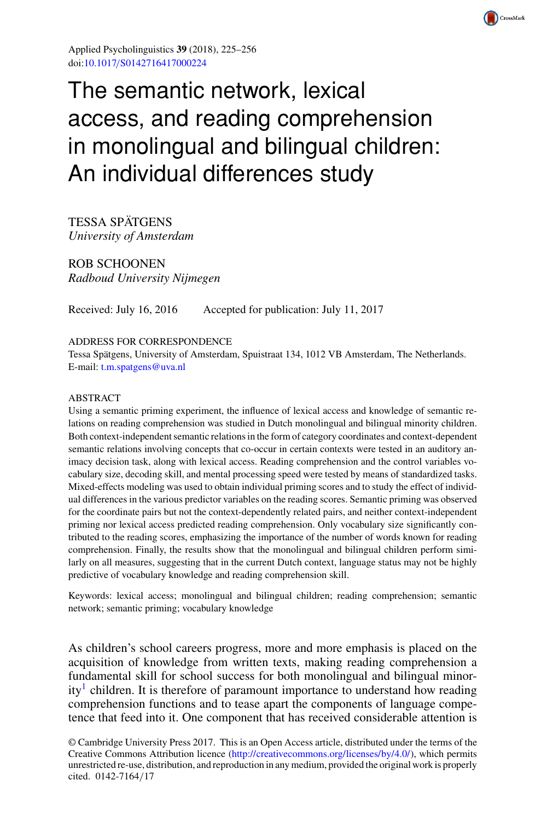

Applied Psycholinguistics **39** (2018), 225–256 doi:10.1017/[S0142716417000224](https://doi.org/10.1017/S0142716417000224)

# The semantic network, lexical access, and reading comprehension in monolingual and bilingual children: An individual differences study

TESSA SPÄTGENS *University of Amsterdam*

ROB SCHOONEN *Radboud University Nijmegen*

Received: July 16, 2016 Accepted for publication: July 11, 2017

#### ADDRESS FOR CORRESPONDENCE

Tessa Spätgens, University of Amsterdam, Spuistraat 134, 1012 VB Amsterdam, The Netherlands. E-mail: [t.m.spatgens@uva.nl](mailto:t.m.spatgens@uva.nl)

#### ABSTRACT

Using a semantic priming experiment, the influence of lexical access and knowledge of semantic relations on reading comprehension was studied in Dutch monolingual and bilingual minority children. Both context-independent semantic relations in the form of category coordinates and context-dependent semantic relations involving concepts that co-occur in certain contexts were tested in an auditory animacy decision task, along with lexical access. Reading comprehension and the control variables vocabulary size, decoding skill, and mental processing speed were tested by means of standardized tasks. Mixed-effects modeling was used to obtain individual priming scores and to study the effect of individual differences in the various predictor variables on the reading scores. Semantic priming was observed for the coordinate pairs but not the context-dependently related pairs, and neither context-independent priming nor lexical access predicted reading comprehension. Only vocabulary size significantly contributed to the reading scores, emphasizing the importance of the number of words known for reading comprehension. Finally, the results show that the monolingual and bilingual children perform similarly on all measures, suggesting that in the current Dutch context, language status may not be highly predictive of vocabulary knowledge and reading comprehension skill.

Keywords: lexical access; monolingual and bilingual children; reading comprehension; semantic network; semantic priming; vocabulary knowledge

As children's school careers progress, more and more emphasis is placed on the acquisition of knowledge from written texts, making reading comprehension a fundamental skill for school success for both monolingual and bilingual minority<sup>1</sup> children. It is therefore of paramount importance to understand how reading comprehension functions and to tease apart the components of language competence that feed into it. One component that has received considerable attention is

© Cambridge University Press 2017. This is an Open Access article, distributed under the terms of the Creative Commons Attribution licence [\(http://creativecommons.org/licenses/by/4.0/\)](http://creativecommons.org/licenses/by/4.0/), which permits unrestricted re-use, distribution, and reproduction in any medium, provided the original work is properly cited. 0142-7164/17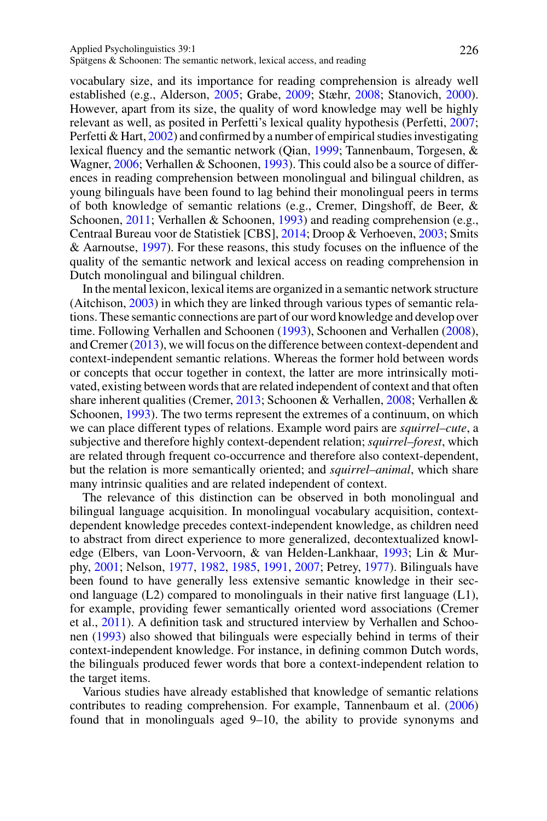vocabulary size, and its importance for reading comprehension is already well established (e.g., Alderson, [2005;](#page-27-0) Grabe, [2009;](#page-28-0) Stæhr, [2008;](#page-30-0) Stanovich, [2000\)](#page-30-0). However, apart from its size, the quality of word knowledge may well be highly relevant as well, as posited in Perfetti's lexical quality hypothesis (Perfetti, [2007;](#page-29-0) Perfetti & Hart, [2002\)](#page-29-0) and confirmed by a number of empirical studies investigating lexical fluency and the semantic network (Qian, [1999;](#page-30-0) Tannenbaum, Torgesen, & Wagner, [2006;](#page-30-0) Verhallen & Schoonen, [1993\)](#page-30-0). This could also be a source of differences in reading comprehension between monolingual and bilingual children, as young bilinguals have been found to lag behind their monolingual peers in terms of both knowledge of semantic relations (e.g., Cremer, Dingshoff, de Beer, & Schoonen, [2011;](#page-28-0) Verhallen & Schoonen, [1993\)](#page-30-0) and reading comprehension (e.g., Centraal Bureau voor de Statistiek [CBS], [2014;](#page-28-0) Droop & Verhoeven, [2003;](#page-28-0) Smits & Aarnoutse, [1997\)](#page-30-0). For these reasons, this study focuses on the influence of the quality of the semantic network and lexical access on reading comprehension in Dutch monolingual and bilingual children.

In the mental lexicon, lexical items are organized in a semantic network structure (Aitchison, [2003\)](#page-27-0) in which they are linked through various types of semantic relations. These semantic connections are part of our word knowledge and develop over time. Following Verhallen and Schoonen [\(1993\)](#page-30-0), Schoonen and Verhallen [\(2008\)](#page-30-0), and Cremer [\(2013\)](#page-28-0), we will focus on the difference between context-dependent and context-independent semantic relations. Whereas the former hold between words or concepts that occur together in context, the latter are more intrinsically motivated, existing between words that are related independent of context and that often share inherent qualities (Cremer, [2013;](#page-28-0) Schoonen & Verhallen, [2008;](#page-30-0) Verhallen & Schoonen, [1993\)](#page-30-0). The two terms represent the extremes of a continuum, on which we can place different types of relations. Example word pairs are *squirrel–cute*, a subjective and therefore highly context-dependent relation; *squirrel–forest*, which are related through frequent co-occurrence and therefore also context-dependent, but the relation is more semantically oriented; and *squirrel–animal*, which share many intrinsic qualities and are related independent of context.

The relevance of this distinction can be observed in both monolingual and bilingual language acquisition. In monolingual vocabulary acquisition, contextdependent knowledge precedes context-independent knowledge, as children need to abstract from direct experience to more generalized, decontextualized knowledge (Elbers, van Loon-Vervoorn, & van Helden-Lankhaar, [1993;](#page-28-0) Lin & Murphy, [2001;](#page-29-0) Nelson, [1977,](#page-29-0) [1982,](#page-29-0) [1985,](#page-29-0) [1991,](#page-29-0) [2007;](#page-29-0) Petrey, [1977\)](#page-29-0). Bilinguals have been found to have generally less extensive semantic knowledge in their second language  $(L2)$  compared to monolinguals in their native first language  $(L1)$ , for example, providing fewer semantically oriented word associations (Cremer et al., [2011\)](#page-28-0). A definition task and structured interview by Verhallen and Schoonen [\(1993\)](#page-30-0) also showed that bilinguals were especially behind in terms of their context-independent knowledge. For instance, in defining common Dutch words, the bilinguals produced fewer words that bore a context-independent relation to the target items.

Various studies have already established that knowledge of semantic relations contributes to reading comprehension. For example, Tannenbaum et al. [\(2006\)](#page-30-0) found that in monolinguals aged 9–10, the ability to provide synonyms and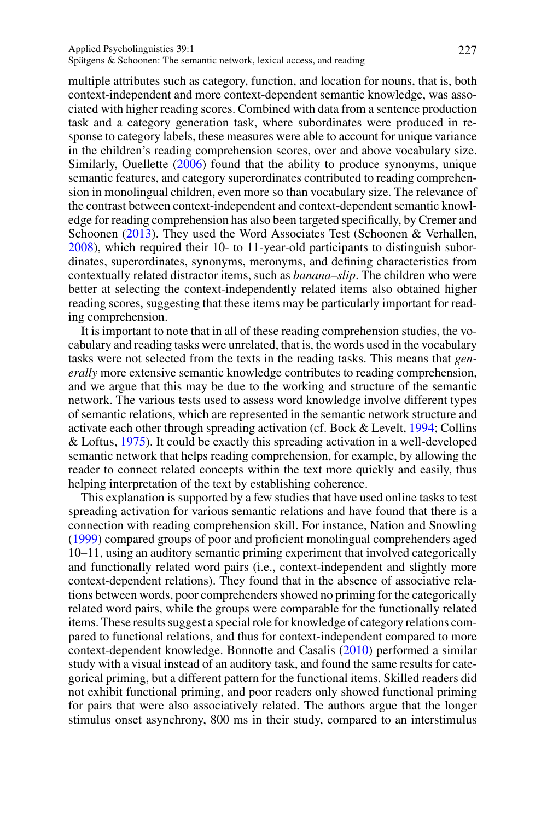multiple attributes such as category, function, and location for nouns, that is, both context-independent and more context-dependent semantic knowledge, was associated with higher reading scores. Combined with data from a sentence production task and a category generation task, where subordinates were produced in response to category labels, these measures were able to account for unique variance in the children's reading comprehension scores, over and above vocabulary size. Similarly, Ouellette [\(2006\)](#page-29-0) found that the ability to produce synonyms, unique semantic features, and category superordinates contributed to reading comprehension in monolingual children, even more so than vocabulary size. The relevance of the contrast between context-independent and context-dependent semantic knowledge for reading comprehension has also been targeted specifically, by Cremer and Schoonen [\(2013\)](#page-28-0). They used the Word Associates Test (Schoonen & Verhallen, [2008\)](#page-30-0), which required their 10- to 11-year-old participants to distinguish subordinates, superordinates, synonyms, meronyms, and defining characteristics from contextually related distractor items, such as *banana–slip*. The children who were better at selecting the context-independently related items also obtained higher reading scores, suggesting that these items may be particularly important for reading comprehension.

It is important to note that in all of these reading comprehension studies, the vocabulary and reading tasks were unrelated, that is, the words used in the vocabulary tasks were not selected from the texts in the reading tasks. This means that *generally* more extensive semantic knowledge contributes to reading comprehension, and we argue that this may be due to the working and structure of the semantic network. The various tests used to assess word knowledge involve different types of semantic relations, which are represented in the semantic network structure and activate each other through spreading activation (cf. Bock & Levelt, [1994;](#page-28-0) Collins & Loftus, [1975\)](#page-28-0). It could be exactly this spreading activation in a well-developed semantic network that helps reading comprehension, for example, by allowing the reader to connect related concepts within the text more quickly and easily, thus helping interpretation of the text by establishing coherence.

This explanation is supported by a few studies that have used online tasks to test spreading activation for various semantic relations and have found that there is a connection with reading comprehension skill. For instance, Nation and Snowling [\(1999\)](#page-29-0) compared groups of poor and proficient monolingual comprehenders aged 10–11, using an auditory semantic priming experiment that involved categorically and functionally related word pairs (i.e., context-independent and slightly more context-dependent relations). They found that in the absence of associative relations between words, poor comprehenders showed no priming for the categorically related word pairs, while the groups were comparable for the functionally related items. These results suggest a special role for knowledge of category relations compared to functional relations, and thus for context-independent compared to more context-dependent knowledge. Bonnotte and Casalis [\(2010\)](#page-28-0) performed a similar study with a visual instead of an auditory task, and found the same results for categorical priming, but a different pattern for the functional items. Skilled readers did not exhibit functional priming, and poor readers only showed functional priming for pairs that were also associatively related. The authors argue that the longer stimulus onset asynchrony, 800 ms in their study, compared to an interstimulus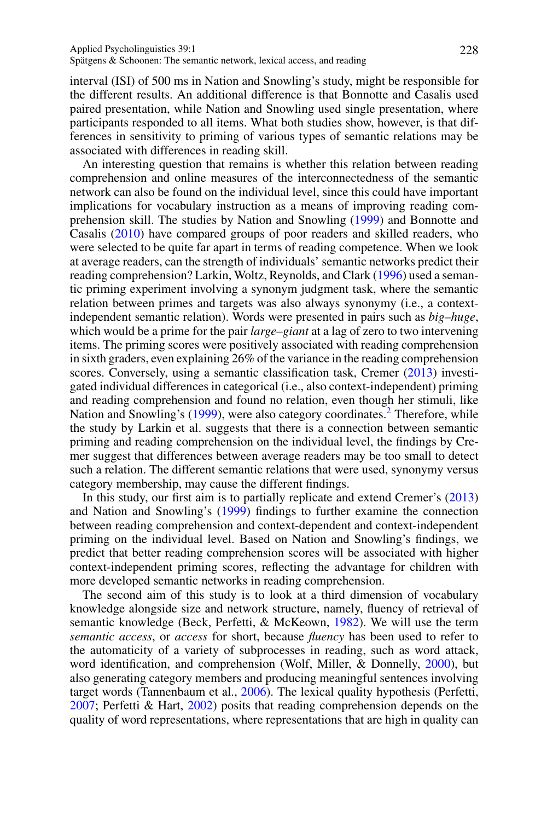interval (ISI) of 500 ms in Nation and Snowling's study, might be responsible for the different results. An additional difference is that Bonnotte and Casalis used paired presentation, while Nation and Snowling used single presentation, where participants responded to all items. What both studies show, however, is that differences in sensitivity to priming of various types of semantic relations may be associated with differences in reading skill.

An interesting question that remains is whether this relation between reading comprehension and online measures of the interconnectedness of the semantic network can also be found on the individual level, since this could have important implications for vocabulary instruction as a means of improving reading comprehension skill. The studies by Nation and Snowling [\(1999\)](#page-29-0) and Bonnotte and Casalis [\(2010\)](#page-28-0) have compared groups of poor readers and skilled readers, who were selected to be quite far apart in terms of reading competence. When we look at average readers, can the strength of individuals' semantic networks predict their reading comprehension? Larkin, Woltz, Reynolds, and Clark [\(1996\)](#page-29-0) used a semantic priming experiment involving a synonym judgment task, where the semantic relation between primes and targets was also always synonymy (i.e., a contextindependent semantic relation). Words were presented in pairs such as *big–huge*, which would be a prime for the pair *large–giant* at a lag of zero to two intervening items. The priming scores were positively associated with reading comprehension in sixth graders, even explaining 26% of the variance in the reading comprehension scores. Conversely, using a semantic classification task, Cremer [\(2013\)](#page-28-0) investigated individual differences in categorical (i.e., also context-independent) priming and reading comprehension and found no relation, even though her stimuli, like Nation and Snowling's [\(1999\)](#page-29-0), were also category coordinates.<sup>2</sup> Therefore, while the study by Larkin et al. suggests that there is a connection between semantic priming and reading comprehension on the individual level, the findings by Cremer suggest that differences between average readers may be too small to detect such a relation. The different semantic relations that were used, synonymy versus category membership, may cause the different findings.

In this study, our first aim is to partially replicate and extend Cremer's [\(2013\)](#page-28-0) and Nation and Snowling's [\(1999\)](#page-29-0) findings to further examine the connection between reading comprehension and context-dependent and context-independent priming on the individual level. Based on Nation and Snowling's findings, we predict that better reading comprehension scores will be associated with higher context-independent priming scores, reflecting the advantage for children with more developed semantic networks in reading comprehension.

The second aim of this study is to look at a third dimension of vocabulary knowledge alongside size and network structure, namely, fluency of retrieval of semantic knowledge (Beck, Perfetti, & McKeown, [1982\)](#page-28-0). We will use the term *semantic access*, or *access* for short, because *fluency* has been used to refer to the automaticity of a variety of subprocesses in reading, such as word attack, word identification, and comprehension (Wolf, Miller, & Donnelly, [2000\)](#page-31-0), but also generating category members and producing meaningful sentences involving target words (Tannenbaum et al., [2006\)](#page-30-0). The lexical quality hypothesis (Perfetti, [2007;](#page-29-0) Perfetti & Hart, [2002\)](#page-29-0) posits that reading comprehension depends on the quality of word representations, where representations that are high in quality can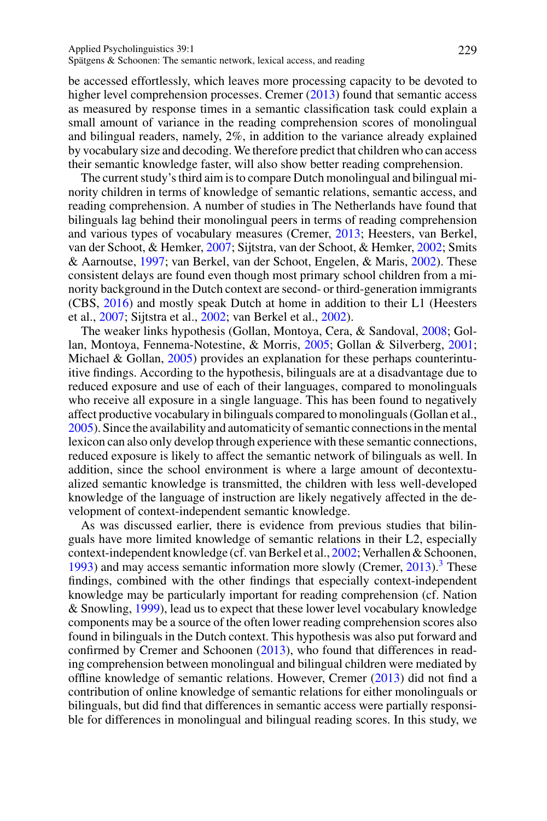be accessed effortlessly, which leaves more processing capacity to be devoted to higher level comprehension processes. Cremer [\(2013\)](#page-28-0) found that semantic access as measured by response times in a semantic classification task could explain a small amount of variance in the reading comprehension scores of monolingual and bilingual readers, namely, 2%, in addition to the variance already explained by vocabulary size and decoding. We therefore predict that children who can access their semantic knowledge faster, will also show better reading comprehension.

The current study's third aim is to compare Dutch monolingual and bilingual minority children in terms of knowledge of semantic relations, semantic access, and reading comprehension. A number of studies in The Netherlands have found that bilinguals lag behind their monolingual peers in terms of reading comprehension and various types of vocabulary measures (Cremer, [2013;](#page-28-0) Heesters, van Berkel, van der Schoot, & Hemker, [2007;](#page-29-0) Sijtstra, van der Schoot, & Hemker, [2002;](#page-30-0) Smits & Aarnoutse, [1997;](#page-30-0) van Berkel, van der Schoot, Engelen, & Maris, [2002\)](#page-30-0). These consistent delays are found even though most primary school children from a minority background in the Dutch context are second- or third-generation immigrants (CBS, [2016\)](#page-28-0) and mostly speak Dutch at home in addition to their L1 (Heesters et al., [2007;](#page-29-0) Sijtstra et al., [2002;](#page-30-0) van Berkel et al., [2002\)](#page-30-0).

The weaker links hypothesis (Gollan, Montoya, Cera, & Sandoval, [2008;](#page-28-0) Gollan, Montoya, Fennema-Notestine, & Morris, [2005;](#page-28-0) Gollan & Silverberg, [2001;](#page-28-0) Michael & Gollan, [2005\)](#page-29-0) provides an explanation for these perhaps counterintuitive findings. According to the hypothesis, bilinguals are at a disadvantage due to reduced exposure and use of each of their languages, compared to monolinguals who receive all exposure in a single language. This has been found to negatively affect productive vocabulary in bilinguals compared to monolinguals (Gollan et al., [2005\)](#page-28-0). Since the availability and automaticity of semantic connections in the mental lexicon can also only develop through experience with these semantic connections, reduced exposure is likely to affect the semantic network of bilinguals as well. In addition, since the school environment is where a large amount of decontextualized semantic knowledge is transmitted, the children with less well-developed knowledge of the language of instruction are likely negatively affected in the development of context-independent semantic knowledge.

As was discussed earlier, there is evidence from previous studies that bilinguals have more limited knowledge of semantic relations in their L2, especially context-independent knowledge (cf. van Berkel et al., [2002;](#page-30-0) Verhallen & Schoonen, [1993\)](#page-30-0) and may access semantic information more slowly (Cremer,  $2013$ ).<sup>3</sup> These findings, combined with the other findings that especially context-independent knowledge may be particularly important for reading comprehension (cf. Nation & Snowling, [1999\)](#page-29-0), lead us to expect that these lower level vocabulary knowledge components may be a source of the often lower reading comprehension scores also found in bilinguals in the Dutch context. This hypothesis was also put forward and confirmed by Cremer and Schoonen [\(2013\)](#page-28-0), who found that differences in reading comprehension between monolingual and bilingual children were mediated by offline knowledge of semantic relations. However, Cremer [\(2013\)](#page-28-0) did not find a contribution of online knowledge of semantic relations for either monolinguals or bilinguals, but did find that differences in semantic access were partially responsible for differences in monolingual and bilingual reading scores. In this study, we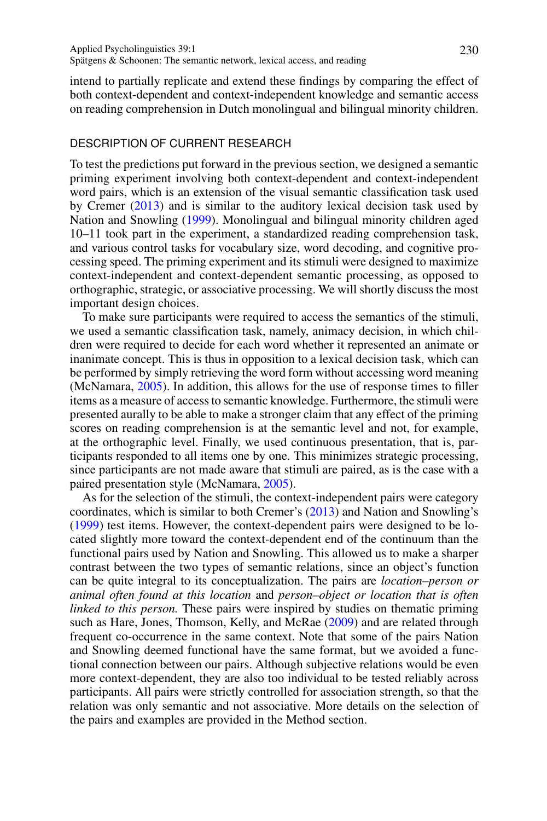intend to partially replicate and extend these findings by comparing the effect of both context-dependent and context-independent knowledge and semantic access on reading comprehension in Dutch monolingual and bilingual minority children.

# DESCRIPTION OF CURRENT RESEARCH

To test the predictions put forward in the previous section, we designed a semantic priming experiment involving both context-dependent and context-independent word pairs, which is an extension of the visual semantic classification task used by Cremer [\(2013\)](#page-28-0) and is similar to the auditory lexical decision task used by Nation and Snowling [\(1999\)](#page-29-0). Monolingual and bilingual minority children aged 10–11 took part in the experiment, a standardized reading comprehension task, and various control tasks for vocabulary size, word decoding, and cognitive processing speed. The priming experiment and its stimuli were designed to maximize context-independent and context-dependent semantic processing, as opposed to orthographic, strategic, or associative processing. We will shortly discuss the most important design choices.

To make sure participants were required to access the semantics of the stimuli, we used a semantic classification task, namely, animacy decision, in which children were required to decide for each word whether it represented an animate or inanimate concept. This is thus in opposition to a lexical decision task, which can be performed by simply retrieving the word form without accessing word meaning (McNamara, [2005\)](#page-29-0). In addition, this allows for the use of response times to filler items as a measure of access to semantic knowledge. Furthermore, the stimuli were presented aurally to be able to make a stronger claim that any effect of the priming scores on reading comprehension is at the semantic level and not, for example, at the orthographic level. Finally, we used continuous presentation, that is, participants responded to all items one by one. This minimizes strategic processing, since participants are not made aware that stimuli are paired, as is the case with a paired presentation style (McNamara, [2005\)](#page-29-0).

As for the selection of the stimuli, the context-independent pairs were category coordinates, which is similar to both Cremer's [\(2013\)](#page-28-0) and Nation and Snowling's [\(1999\)](#page-29-0) test items. However, the context-dependent pairs were designed to be located slightly more toward the context-dependent end of the continuum than the functional pairs used by Nation and Snowling. This allowed us to make a sharper contrast between the two types of semantic relations, since an object's function can be quite integral to its conceptualization. The pairs are *location–person or animal often found at this location* and *person–object or location that is often linked to this person.* These pairs were inspired by studies on thematic priming such as Hare, Jones, Thomson, Kelly, and McRae [\(2009\)](#page-29-0) and are related through frequent co-occurrence in the same context. Note that some of the pairs Nation and Snowling deemed functional have the same format, but we avoided a functional connection between our pairs. Although subjective relations would be even more context-dependent, they are also too individual to be tested reliably across participants. All pairs were strictly controlled for association strength, so that the relation was only semantic and not associative. More details on the selection of the pairs and examples are provided in the Method section.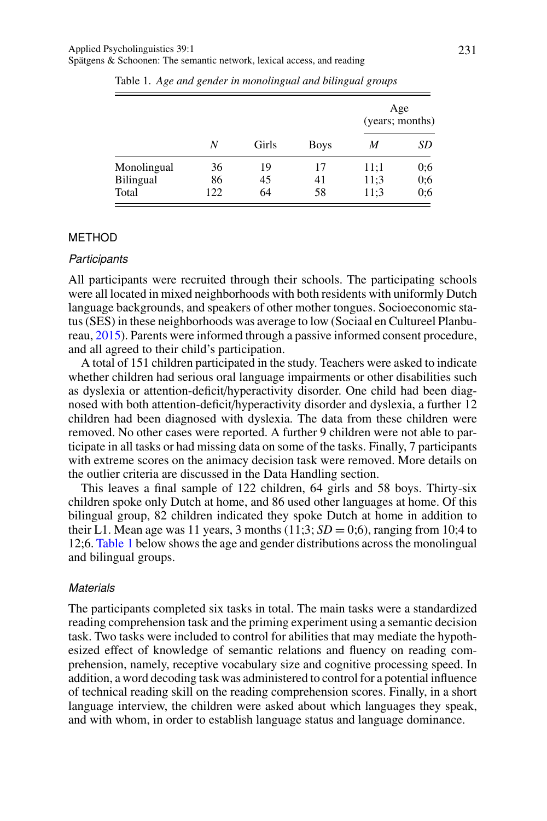|                  |     |       |             | Age<br>(years; months) |     |
|------------------|-----|-------|-------------|------------------------|-----|
|                  | Ν   | Girls | <b>Boys</b> | M                      | SD  |
| Monolingual      | 36  | 19    | 17          | 11;1                   | 0;6 |
| <b>Bilingual</b> | 86  | 45    | 41          | 11;3                   | 0;6 |
| Total            | 122 | 64    | 58          | 11:3                   | 0;6 |

Table 1. *Age and gender in monolingual and bilingual groups*

#### METHOD

#### *Participants*

All participants were recruited through their schools. The participating schools were all located in mixed neighborhoods with both residents with uniformly Dutch language backgrounds, and speakers of other mother tongues. Socioeconomic status (SES) in these neighborhoods was average to low (Sociaal en Cultureel Planbureau, [2015\)](#page-30-0). Parents were informed through a passive informed consent procedure, and all agreed to their child's participation.

A total of 151 children participated in the study. Teachers were asked to indicate whether children had serious oral language impairments or other disabilities such as dyslexia or attention-deficit/hyperactivity disorder. One child had been diagnosed with both attention-deficit/hyperactivity disorder and dyslexia, a further 12 children had been diagnosed with dyslexia. The data from these children were removed. No other cases were reported. A further 9 children were not able to participate in all tasks or had missing data on some of the tasks. Finally, 7 participants with extreme scores on the animacy decision task were removed. More details on the outlier criteria are discussed in the Data Handling section.

This leaves a final sample of 122 children, 64 girls and 58 boys. Thirty-six children spoke only Dutch at home, and 86 used other languages at home. Of this bilingual group, 82 children indicated they spoke Dutch at home in addition to their L1. Mean age was 11 years, 3 months  $(11;3; SD = 0;6)$ , ranging from 10;4 to 12;6. Table 1 below shows the age and gender distributions across the monolingual and bilingual groups.

#### *Materials*

The participants completed six tasks in total. The main tasks were a standardized reading comprehension task and the priming experiment using a semantic decision task. Two tasks were included to control for abilities that may mediate the hypothesized effect of knowledge of semantic relations and fluency on reading comprehension, namely, receptive vocabulary size and cognitive processing speed. In addition, a word decoding task was administered to control for a potential influence of technical reading skill on the reading comprehension scores. Finally, in a short language interview, the children were asked about which languages they speak, and with whom, in order to establish language status and language dominance.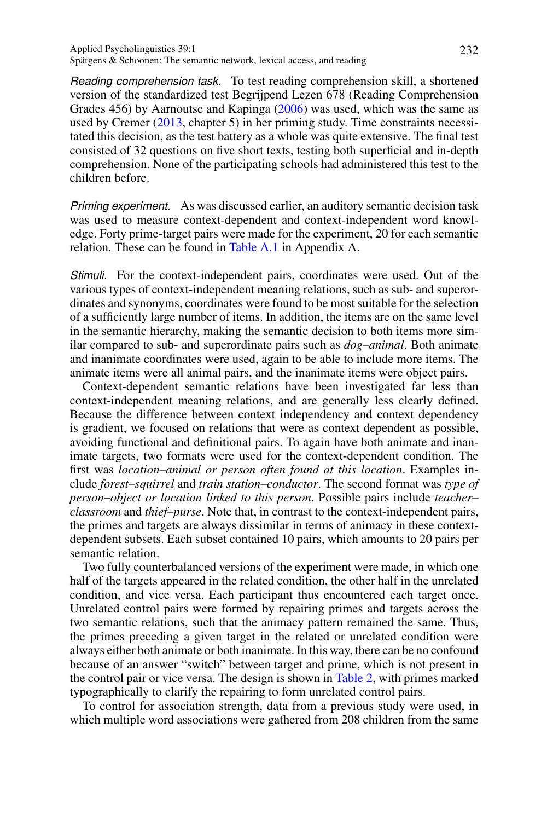#### Applied Psycholinguistics 39:1 232 Spätgens & Schoonen: The semantic network, lexical access, and reading

*Reading comprehension task.* To test reading comprehension skill, a shortened version of the standardized test Begrijpend Lezen 678 (Reading Comprehension Grades 456) by Aarnoutse and Kapinga [\(2006\)](#page-27-0) was used, which was the same as used by Cremer [\(2013,](#page-28-0) chapter 5) in her priming study. Time constraints necessitated this decision, as the test battery as a whole was quite extensive. The final test consisted of 32 questions on five short texts, testing both superficial and in-depth comprehension. None of the participating schools had administered this test to the children before.

*Priming experiment.* As was discussed earlier, an auditory semantic decision task was used to measure context-dependent and context-independent word knowledge. Forty prime-target pairs were made for the experiment, 20 for each semantic relation. These can be found in [Table A.1](#page-23-0) in Appendix A.

*Stimuli.* For the context-independent pairs, coordinates were used. Out of the various types of context-independent meaning relations, such as sub- and superordinates and synonyms, coordinates were found to be most suitable for the selection of a sufficiently large number of items. In addition, the items are on the same level in the semantic hierarchy, making the semantic decision to both items more similar compared to sub- and superordinate pairs such as *dog–animal*. Both animate and inanimate coordinates were used, again to be able to include more items. The animate items were all animal pairs, and the inanimate items were object pairs.

Context-dependent semantic relations have been investigated far less than context-independent meaning relations, and are generally less clearly defined. Because the difference between context independency and context dependency is gradient, we focused on relations that were as context dependent as possible, avoiding functional and definitional pairs. To again have both animate and inanimate targets, two formats were used for the context-dependent condition. The first was *location–animal or person often found at this location*. Examples include *forest–squirrel* and *train station–conductor*. The second format was *type of person*–*object or location linked to this person*. Possible pairs include *teacher– classroom* and *thief–purse*. Note that, in contrast to the context-independent pairs, the primes and targets are always dissimilar in terms of animacy in these contextdependent subsets. Each subset contained 10 pairs, which amounts to 20 pairs per semantic relation.

Two fully counterbalanced versions of the experiment were made, in which one half of the targets appeared in the related condition, the other half in the unrelated condition, and vice versa. Each participant thus encountered each target once. Unrelated control pairs were formed by repairing primes and targets across the two semantic relations, such that the animacy pattern remained the same. Thus, the primes preceding a given target in the related or unrelated condition were always either both animate or both inanimate. In this way, there can be no confound because of an answer "switch" between target and prime, which is not present in the control pair or vice versa. The design is shown in [Table 2,](#page-8-0) with primes marked typographically to clarify the repairing to form unrelated control pairs.

To control for association strength, data from a previous study were used, in which multiple word associations were gathered from 208 children from the same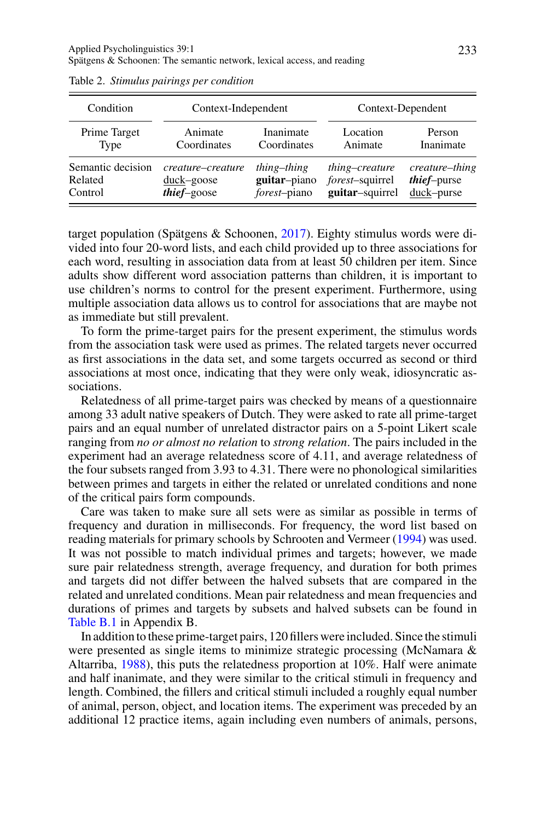| Condition         | Context-Independent |              | Context-Dependent       |                     |  |
|-------------------|---------------------|--------------|-------------------------|---------------------|--|
| Prime Target      | Animate             | Inanimate    | Location                | Person              |  |
| Type              | Coordinates         | Coordinates  | Animate                 | Inanimate           |  |
| Semantic decision | creature-creature   | thing-thing  | thing-creature          | creature-thing      |  |
| Related           | duck-goose          | guitar-piano | <i>forest</i> -squirrel | <i>thief</i> -purse |  |
| Control           | <i>thief</i> -goose | forest-piano | guitar-squirrel         | duck-purse          |  |

<span id="page-8-0"></span>Table 2. *Stimulus pairings per condition*

target population (Spätgens & Schoonen, [2017\)](#page-30-0). Eighty stimulus words were divided into four 20-word lists, and each child provided up to three associations for each word, resulting in association data from at least 50 children per item. Since adults show different word association patterns than children, it is important to use children's norms to control for the present experiment. Furthermore, using multiple association data allows us to control for associations that are maybe not as immediate but still prevalent.

To form the prime-target pairs for the present experiment, the stimulus words from the association task were used as primes. The related targets never occurred as first associations in the data set, and some targets occurred as second or third associations at most once, indicating that they were only weak, idiosyncratic associations.

Relatedness of all prime-target pairs was checked by means of a questionnaire among 33 adult native speakers of Dutch. They were asked to rate all prime-target pairs and an equal number of unrelated distractor pairs on a 5-point Likert scale ranging from *no or almost no relation* to *strong relation*. The pairs included in the experiment had an average relatedness score of 4.11, and average relatedness of the four subsets ranged from 3.93 to 4.31. There were no phonological similarities between primes and targets in either the related or unrelated conditions and none of the critical pairs form compounds.

Care was taken to make sure all sets were as similar as possible in terms of frequency and duration in milliseconds. For frequency, the word list based on reading materials for primary schools by Schrooten and Vermeer [\(1994\)](#page-30-0) was used. It was not possible to match individual primes and targets; however, we made sure pair relatedness strength, average frequency, and duration for both primes and targets did not differ between the halved subsets that are compared in the related and unrelated conditions. Mean pair relatedness and mean frequencies and durations of primes and targets by subsets and halved subsets can be found in [Table B.1](#page-24-0) in Appendix B.

In addition to these prime-target pairs, 120 fillers were included. Since the stimuli were presented as single items to minimize strategic processing (McNamara & Altarriba, [1988\)](#page-29-0), this puts the relatedness proportion at 10%. Half were animate and half inanimate, and they were similar to the critical stimuli in frequency and length. Combined, the fillers and critical stimuli included a roughly equal number of animal, person, object, and location items. The experiment was preceded by an additional 12 practice items, again including even numbers of animals, persons,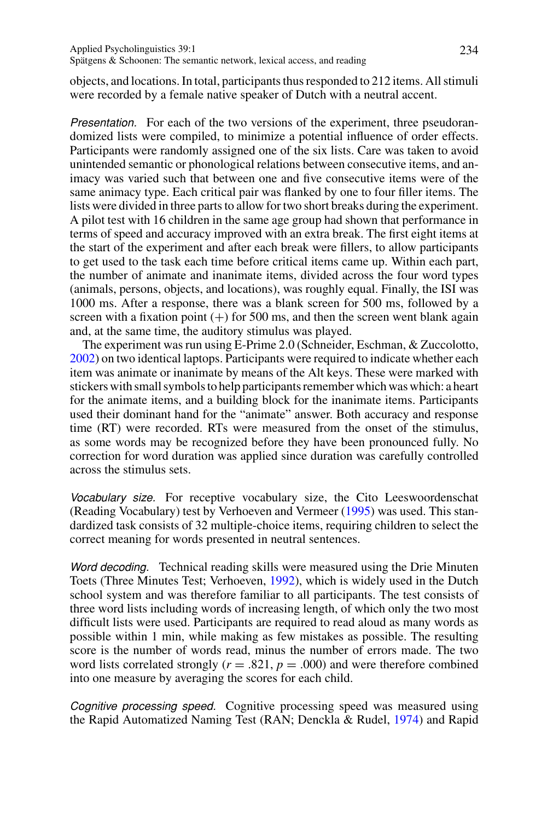objects, and locations. In total, participants thus responded to 212 items. All stimuli were recorded by a female native speaker of Dutch with a neutral accent.

*Presentation.* For each of the two versions of the experiment, three pseudorandomized lists were compiled, to minimize a potential influence of order effects. Participants were randomly assigned one of the six lists. Care was taken to avoid unintended semantic or phonological relations between consecutive items, and animacy was varied such that between one and five consecutive items were of the same animacy type. Each critical pair was flanked by one to four filler items. The lists were divided in three parts to allow for two short breaks during the experiment. A pilot test with 16 children in the same age group had shown that performance in terms of speed and accuracy improved with an extra break. The first eight items at the start of the experiment and after each break were fillers, to allow participants to get used to the task each time before critical items came up. Within each part, the number of animate and inanimate items, divided across the four word types (animals, persons, objects, and locations), was roughly equal. Finally, the ISI was 1000 ms. After a response, there was a blank screen for 500 ms, followed by a screen with a fixation point  $(+)$  for 500 ms, and then the screen went blank again and, at the same time, the auditory stimulus was played.

The experiment was run using E-Prime 2.0 (Schneider, Eschman, & Zuccolotto, [2002\)](#page-30-0) on two identical laptops. Participants were required to indicate whether each item was animate or inanimate by means of the Alt keys. These were marked with stickers with small symbols to help participants remember which was which: a heart for the animate items, and a building block for the inanimate items. Participants used their dominant hand for the "animate" answer. Both accuracy and response time (RT) were recorded. RTs were measured from the onset of the stimulus, as some words may be recognized before they have been pronounced fully. No correction for word duration was applied since duration was carefully controlled across the stimulus sets.

*Vocabulary size.* For receptive vocabulary size, the Cito Leeswoordenschat (Reading Vocabulary) test by Verhoeven and Vermeer [\(1995\)](#page-31-0) was used. This standardized task consists of 32 multiple-choice items, requiring children to select the correct meaning for words presented in neutral sentences.

*Word decoding.* Technical reading skills were measured using the Drie Minuten Toets (Three Minutes Test; Verhoeven, [1992\)](#page-30-0), which is widely used in the Dutch school system and was therefore familiar to all participants. The test consists of three word lists including words of increasing length, of which only the two most difficult lists were used. Participants are required to read aloud as many words as possible within 1 min, while making as few mistakes as possible. The resulting score is the number of words read, minus the number of errors made. The two word lists correlated strongly  $(r = .821, p = .000)$  and were therefore combined into one measure by averaging the scores for each child.

*Cognitive processing speed.* Cognitive processing speed was measured using the Rapid Automatized Naming Test (RAN; Denckla & Rudel, [1974\)](#page-28-0) and Rapid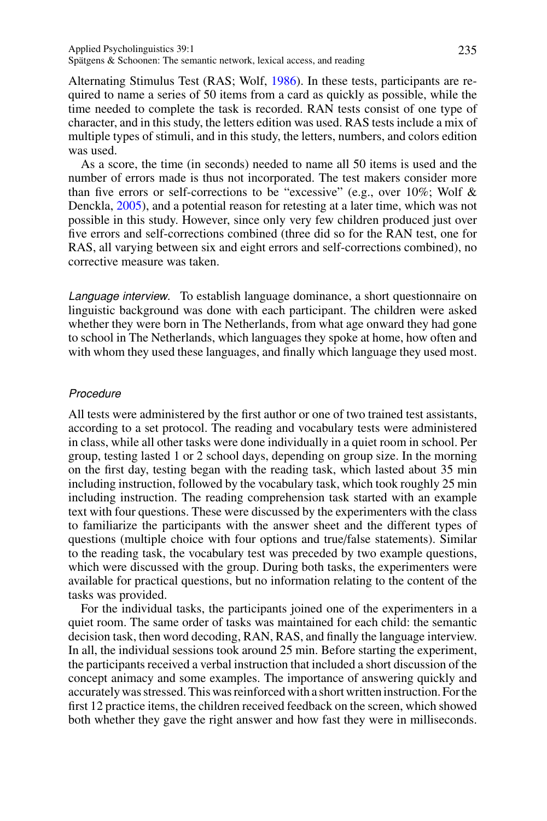Alternating Stimulus Test (RAS; Wolf, [1986\)](#page-31-0). In these tests, participants are required to name a series of 50 items from a card as quickly as possible, while the time needed to complete the task is recorded. RAN tests consist of one type of character, and in this study, the letters edition was used. RAS tests include a mix of multiple types of stimuli, and in this study, the letters, numbers, and colors edition was used.

As a score, the time (in seconds) needed to name all 50 items is used and the number of errors made is thus not incorporated. The test makers consider more than five errors or self-corrections to be "excessive" (e.g., over  $10\%$ ; Wolf & Denckla, [2005\)](#page-31-0), and a potential reason for retesting at a later time, which was not possible in this study. However, since only very few children produced just over five errors and self-corrections combined (three did so for the RAN test, one for RAS, all varying between six and eight errors and self-corrections combined), no corrective measure was taken.

*Language interview.* To establish language dominance, a short questionnaire on linguistic background was done with each participant. The children were asked whether they were born in The Netherlands, from what age onward they had gone to school in The Netherlands, which languages they spoke at home, how often and with whom they used these languages, and finally which language they used most.

## *Procedure*

All tests were administered by the first author or one of two trained test assistants, according to a set protocol. The reading and vocabulary tests were administered in class, while all other tasks were done individually in a quiet room in school. Per group, testing lasted 1 or 2 school days, depending on group size. In the morning on the first day, testing began with the reading task, which lasted about 35 min including instruction, followed by the vocabulary task, which took roughly 25 min including instruction. The reading comprehension task started with an example text with four questions. These were discussed by the experimenters with the class to familiarize the participants with the answer sheet and the different types of questions (multiple choice with four options and true/false statements). Similar to the reading task, the vocabulary test was preceded by two example questions, which were discussed with the group. During both tasks, the experimenters were available for practical questions, but no information relating to the content of the tasks was provided.

For the individual tasks, the participants joined one of the experimenters in a quiet room. The same order of tasks was maintained for each child: the semantic decision task, then word decoding, RAN, RAS, and finally the language interview. In all, the individual sessions took around 25 min. Before starting the experiment, the participants received a verbal instruction that included a short discussion of the concept animacy and some examples. The importance of answering quickly and accurately was stressed. This was reinforced with a short written instruction. For the first 12 practice items, the children received feedback on the screen, which showed both whether they gave the right answer and how fast they were in milliseconds.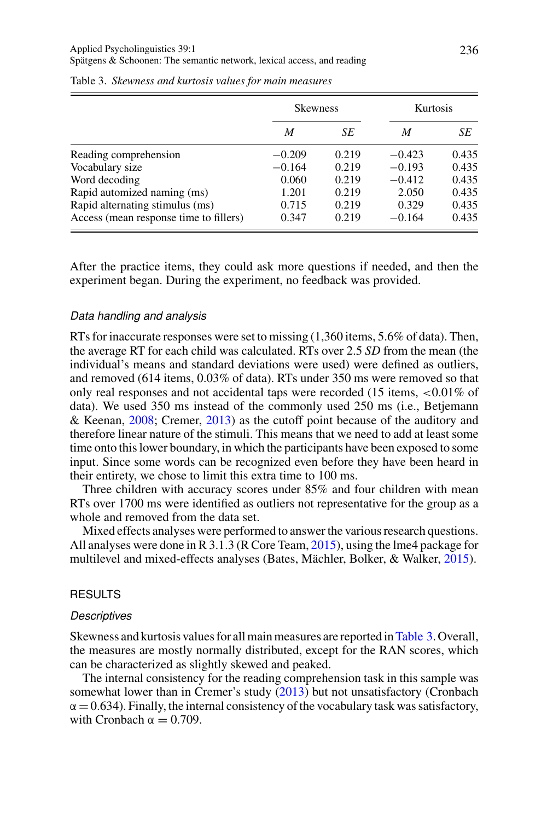|                                        | <b>Skewness</b> |       | Kurtosis |       |  |
|----------------------------------------|-----------------|-------|----------|-------|--|
|                                        | M               | SE    | M        | SE    |  |
| Reading comprehension                  | $-0.209$        | 0.219 | $-0.423$ | 0.435 |  |
| Vocabulary size                        | $-0.164$        | 0.219 | $-0.193$ | 0.435 |  |
| Word decoding                          | 0.060           | 0.219 | $-0.412$ | 0.435 |  |
| Rapid automized naming (ms)            | 1.201           | 0.219 | 2.050    | 0.435 |  |
| Rapid alternating stimulus (ms)        | 0.715           | 0.219 | 0.329    | 0.435 |  |
| Access (mean response time to fillers) | 0.347           | 0.219 | $-0.164$ | 0.435 |  |

Table 3. *Skewness and kurtosis values for main measures*

After the practice items, they could ask more questions if needed, and then the experiment began. During the experiment, no feedback was provided.

## *Data handling and analysis*

RTs for inaccurate responses were set to missing (1,360 items, 5.6% of data). Then, the average RT for each child was calculated. RTs over 2.5 *SD* from the mean (the individual's means and standard deviations were used) were defined as outliers, and removed (614 items, 0.03% of data). RTs under 350 ms were removed so that only real responses and not accidental taps were recorded (15 items,  $\lt 0.01\%$  of data). We used 350 ms instead of the commonly used 250 ms (i.e., Betjemann & Keenan, [2008;](#page-28-0) Cremer, [2013\)](#page-28-0) as the cutoff point because of the auditory and therefore linear nature of the stimuli. This means that we need to add at least some time onto this lower boundary, in which the participants have been exposed to some input. Since some words can be recognized even before they have been heard in their entirety, we chose to limit this extra time to 100 ms.

Three children with accuracy scores under 85% and four children with mean RTs over 1700 ms were identified as outliers not representative for the group as a whole and removed from the data set.

Mixed effects analyses were performed to answer the various research questions. All analyses were done in R 3.1.3 (R Core Team, [2015\)](#page-30-0), using the lme4 package for multilevel and mixed-effects analyses (Bates, Mächler, Bolker, & Walker, [2015\)](#page-27-0).

# RESULTS

#### *Descriptives*

Skewness and kurtosis values for all main measures are reported inTable 3. Overall, the measures are mostly normally distributed, except for the RAN scores, which can be characterized as slightly skewed and peaked.

The internal consistency for the reading comprehension task in this sample was somewhat lower than in Cremer's study [\(2013\)](#page-28-0) but not unsatisfactory (Cronbach  $\alpha = 0.634$ ). Finally, the internal consistency of the vocabulary task was satisfactory, with Cronbach  $\alpha = 0.709$ .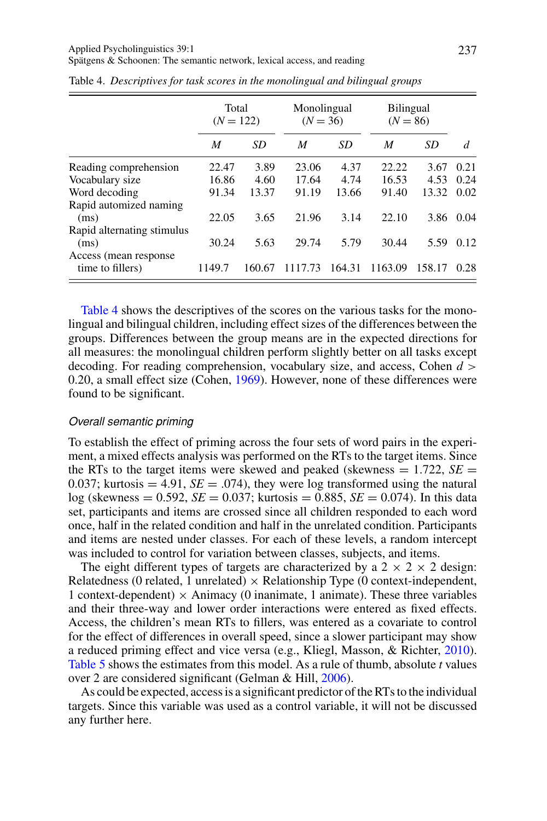|                                            | Total<br>$(N = 122)$ |        | Monolingual<br>$(N = 36)$ |        | <b>Bilingual</b><br>$(N = 86)$ |        |      |  |
|--------------------------------------------|----------------------|--------|---------------------------|--------|--------------------------------|--------|------|--|
|                                            | M                    | SD     | M                         | SD     | M                              | SD     | d    |  |
| Reading comprehension                      | 22.47                | 3.89   | 23.06                     | 4.37   | 22.22                          | 3.67   | 0.21 |  |
| Vocabulary size                            | 16.86                | 4.60   | 17.64                     | 4.74   | 16.53                          | 4.53   | 0.24 |  |
| Word decoding                              | 91.34                | 13.37  | 91.19                     | 13.66  | 91.40                          | 13.32  | 0.02 |  |
| Rapid automized naming<br>(ms)             | 22.05                | 3.65   | 21.96                     | 3.14   | 22.10                          | 3.86   | 0.04 |  |
| Rapid alternating stimulus<br>(ms)         | 30.24                | 5.63   | 29.74                     | 5.79   | 30.44                          | 5.59   | 0.12 |  |
| Access (mean response)<br>time to fillers) | 1149.7               | 160.67 | 1117.73                   | 164.31 | 1163.09                        | 158.17 | 0.28 |  |

Table 4. *Descriptives for task scores in the monolingual and bilingual groups*

Table 4 shows the descriptives of the scores on the various tasks for the monolingual and bilingual children, including effect sizes of the differences between the groups. Differences between the group means are in the expected directions for all measures: the monolingual children perform slightly better on all tasks except decoding. For reading comprehension, vocabulary size, and access, Cohen *d* > 0.20, a small effect size (Cohen, [1969\)](#page-28-0). However, none of these differences were found to be significant.

## *Overall semantic priming*

To establish the effect of priming across the four sets of word pairs in the experiment, a mixed effects analysis was performed on the RTs to the target items. Since the RTs to the target items were skewed and peaked (skewness  $= 1.722$ , *SE*  $=$ 0.037; kurtosis  $= 4.91$ ,  $SE = .074$ ), they were log transformed using the natural log (skewness  $= 0.592$ ,  $SE = 0.037$ ; kurtosis  $= 0.885$ ,  $SE = 0.074$ ). In this data set, participants and items are crossed since all children responded to each word once, half in the related condition and half in the unrelated condition. Participants and items are nested under classes. For each of these levels, a random intercept was included to control for variation between classes, subjects, and items.

The eight different types of targets are characterized by a  $2 \times 2 \times 2$  design: Relatedness (0 related, 1 unrelated)  $\times$  Relationship Type (0 context-independent, 1 context-dependent)  $\times$  Animacy (0 inanimate, 1 animate). These three variables and their three-way and lower order interactions were entered as fixed effects. Access, the children's mean RTs to fillers, was entered as a covariate to control for the effect of differences in overall speed, since a slower participant may show a reduced priming effect and vice versa (e.g., Kliegl, Masson, & Richter, [2010\)](#page-29-0). [Table 5](#page-13-0) shows the estimates from this model. As a rule of thumb, absolute *t* values over 2 are considered significant (Gelman & Hill, [2006\)](#page-28-0).

As could be expected, access is a significant predictor of the RTs to the individual targets. Since this variable was used as a control variable, it will not be discussed any further here.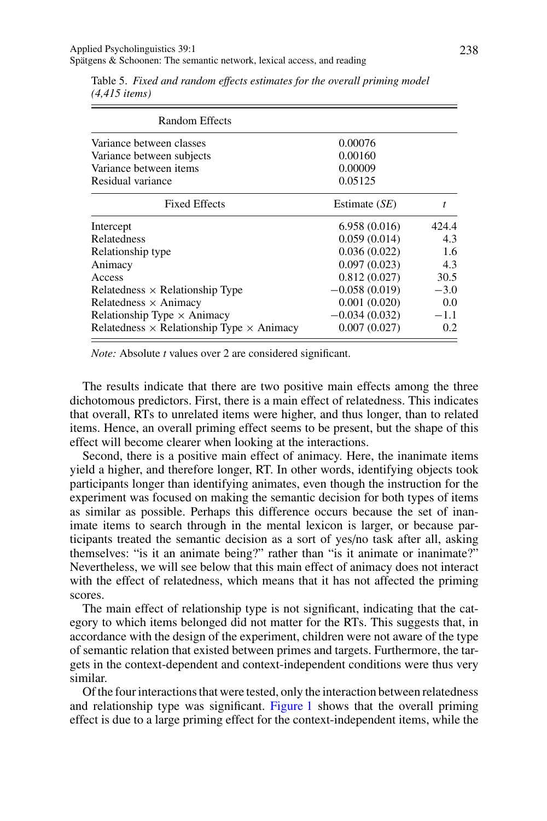| Random Effects                                          |                 |               |
|---------------------------------------------------------|-----------------|---------------|
| Variance between classes                                | 0.00076         |               |
| Variance between subjects                               | 0.00160         |               |
| Variance between items                                  | 0.00009         |               |
| Residual variance                                       | 0.05125         |               |
| <b>Fixed Effects</b>                                    | Estimate $(SE)$ |               |
| Intercept                                               | 6.958(0.016)    | 424.4         |
| Relatedness                                             | 0.059(0.014)    | 4.3           |
| Relationship type                                       | 0.036(0.022)    | 1.6           |
| Animacy                                                 | 0.097(0.023)    | 4.3           |
| Access                                                  | 0.812(0.027)    | 30.5          |
| Relatedness $\times$ Relationship Type                  | $-0.058(0.019)$ | $-3.0$        |
| Relatedness $\times$ Animacy                            | 0.001(0.020)    | 0.0           |
| Relationship Type $\times$ Animacy                      | $-0.034(0.032)$ | $-1.1$        |
| Relatedness $\times$ Relationship Type $\times$ Animacy | 0.007(0.027)    | $0.2^{\circ}$ |

<span id="page-13-0"></span>Table 5. *Fixed and random effects estimates for the overall priming model (4,415 items)*

*Note:* Absolute *t* values over 2 are considered significant.

The results indicate that there are two positive main effects among the three dichotomous predictors. First, there is a main effect of relatedness. This indicates that overall, RTs to unrelated items were higher, and thus longer, than to related items. Hence, an overall priming effect seems to be present, but the shape of this effect will become clearer when looking at the interactions.

Second, there is a positive main effect of animacy. Here, the inanimate items yield a higher, and therefore longer, RT. In other words, identifying objects took participants longer than identifying animates, even though the instruction for the experiment was focused on making the semantic decision for both types of items as similar as possible. Perhaps this difference occurs because the set of inanimate items to search through in the mental lexicon is larger, or because participants treated the semantic decision as a sort of yes/no task after all, asking themselves: "is it an animate being?" rather than "is it animate or inanimate?" Nevertheless, we will see below that this main effect of animacy does not interact with the effect of relatedness, which means that it has not affected the priming scores.

The main effect of relationship type is not significant, indicating that the category to which items belonged did not matter for the RTs. This suggests that, in accordance with the design of the experiment, children were not aware of the type of semantic relation that existed between primes and targets. Furthermore, the targets in the context-dependent and context-independent conditions were thus very similar.

Of the four interactions that were tested, only the interaction between relatedness and relationship type was significant. [Figure 1](#page-14-0) shows that the overall priming effect is due to a large priming effect for the context-independent items, while the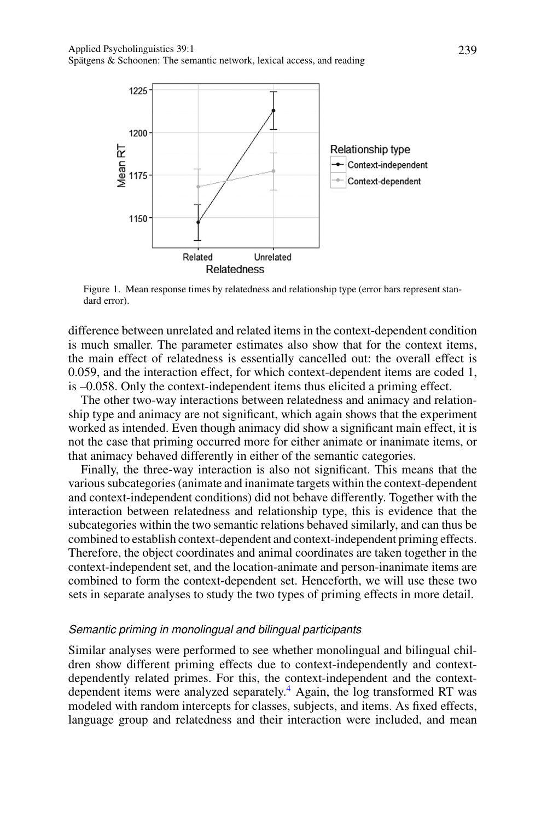<span id="page-14-0"></span>

Figure 1. Mean response times by relatedness and relationship type (error bars represent standard error).

difference between unrelated and related items in the context-dependent condition is much smaller. The parameter estimates also show that for the context items, the main effect of relatedness is essentially cancelled out: the overall effect is 0.059, and the interaction effect, for which context-dependent items are coded 1, is –0.058. Only the context-independent items thus elicited a priming effect.

The other two-way interactions between relatedness and animacy and relationship type and animacy are not significant, which again shows that the experiment worked as intended. Even though animacy did show a significant main effect, it is not the case that priming occurred more for either animate or inanimate items, or that animacy behaved differently in either of the semantic categories.

Finally, the three-way interaction is also not significant. This means that the various subcategories (animate and inanimate targets within the context-dependent and context-independent conditions) did not behave differently. Together with the interaction between relatedness and relationship type, this is evidence that the subcategories within the two semantic relations behaved similarly, and can thus be combined to establish context-dependent and context-independent priming effects. Therefore, the object coordinates and animal coordinates are taken together in the context-independent set, and the location-animate and person-inanimate items are combined to form the context-dependent set. Henceforth, we will use these two sets in separate analyses to study the two types of priming effects in more detail.

#### *Semantic priming in monolingual and bilingual participants*

Similar analyses were performed to see whether monolingual and bilingual children show different priming effects due to context-independently and contextdependently related primes. For this, the context-independent and the contextdependent items were analyzed separately[.4](#page-27-0) Again, the log transformed RT was modeled with random intercepts for classes, subjects, and items. As fixed effects, language group and relatedness and their interaction were included, and mean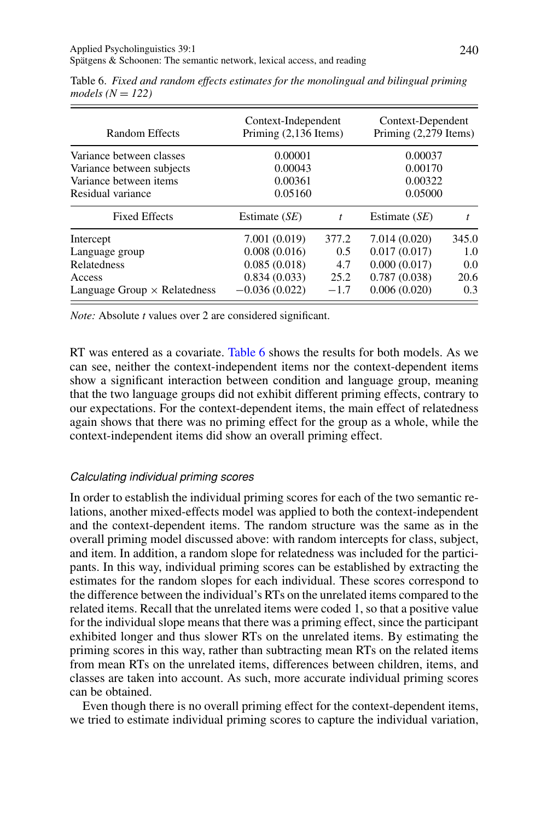| Random Effects                      | Context-Independent<br>Priming (2,136 Items) | Context-Dependent<br>Priming (2,279 Items) |                 |         |  |  |
|-------------------------------------|----------------------------------------------|--------------------------------------------|-----------------|---------|--|--|
| Variance between classes            | 0.00001                                      |                                            |                 | 0.00037 |  |  |
| Variance between subjects           | 0.00043                                      |                                            | 0.00170         |         |  |  |
| Variance between items              | 0.00361                                      |                                            | 0.00322         |         |  |  |
| Residual variance                   | 0.05160                                      |                                            | 0.05000         |         |  |  |
| <b>Fixed Effects</b>                | Estimate $(SE)$                              | t                                          | Estimate $(SE)$ | t       |  |  |
| Intercept                           | 7.001 (0.019)                                | 377.2                                      | 7.014 (0.020)   | 345.0   |  |  |
| Language group                      | 0.008(0.016)                                 | 0.5                                        | 0.017(0.017)    | 1.0     |  |  |
| Relatedness                         | 0.085(0.018)                                 | 4.7                                        | 0.000(0.017)    | 0.0     |  |  |
| Access                              | 0.834(0.033)                                 | 25.2                                       | 0.787(0.038)    | 20.6    |  |  |
| Language Group $\times$ Relatedness | $-0.036(0.022)$                              | $-1.7$                                     | 0.006(0.020)    | 0.3     |  |  |

Table 6. *Fixed and random effects estimates for the monolingual and bilingual priming*  $models (N = 122)$ 

*Note:* Absolute *t* values over 2 are considered significant.

RT was entered as a covariate. Table 6 shows the results for both models. As we can see, neither the context-independent items nor the context-dependent items show a significant interaction between condition and language group, meaning that the two language groups did not exhibit different priming effects, contrary to our expectations. For the context-dependent items, the main effect of relatedness again shows that there was no priming effect for the group as a whole, while the context-independent items did show an overall priming effect.

## *Calculating individual priming scores*

In order to establish the individual priming scores for each of the two semantic relations, another mixed-effects model was applied to both the context-independent and the context-dependent items. The random structure was the same as in the overall priming model discussed above: with random intercepts for class, subject, and item. In addition, a random slope for relatedness was included for the participants. In this way, individual priming scores can be established by extracting the estimates for the random slopes for each individual. These scores correspond to the difference between the individual's RTs on the unrelated items compared to the related items. Recall that the unrelated items were coded 1, so that a positive value for the individual slope means that there was a priming effect, since the participant exhibited longer and thus slower RTs on the unrelated items. By estimating the priming scores in this way, rather than subtracting mean RTs on the related items from mean RTs on the unrelated items, differences between children, items, and classes are taken into account. As such, more accurate individual priming scores can be obtained.

Even though there is no overall priming effect for the context-dependent items, we tried to estimate individual priming scores to capture the individual variation,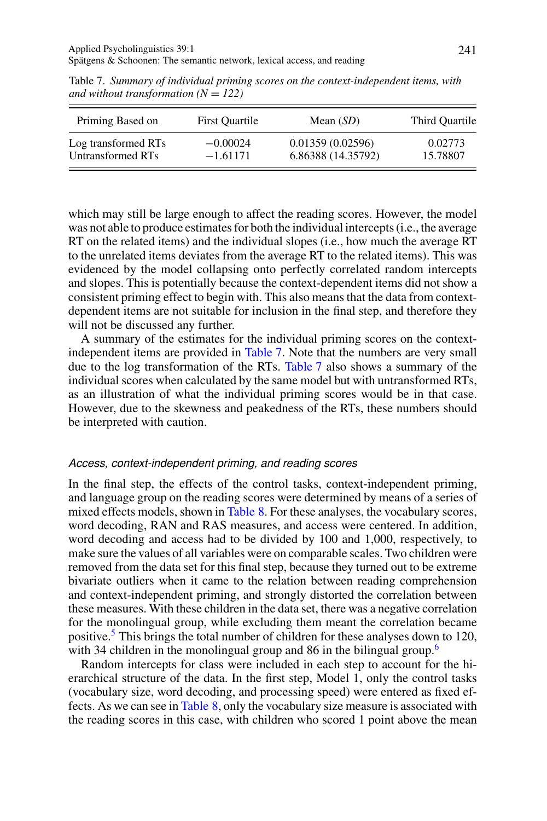| Priming Based on    | <b>First Quartile</b> | Mean $(SD)$        | Third Quartile |
|---------------------|-----------------------|--------------------|----------------|
| Log transformed RTs | $-0.00024$            | 0.01359(0.02596)   | 0.02773        |
| Untransformed RTs   | $-1.61171$            | 6.86388 (14.35792) | 15.78807       |

Table 7. *Summary of individual priming scores on the context-independent items, with and without transformation*  $(N = 122)$ 

which may still be large enough to affect the reading scores. However, the model was not able to produce estimates for both the individual intercepts (i.e., the average RT on the related items) and the individual slopes (i.e., how much the average RT to the unrelated items deviates from the average RT to the related items). This was evidenced by the model collapsing onto perfectly correlated random intercepts and slopes. This is potentially because the context-dependent items did not show a consistent priming effect to begin with. This also means that the data from contextdependent items are not suitable for inclusion in the final step, and therefore they will not be discussed any further.

A summary of the estimates for the individual priming scores on the contextindependent items are provided in Table 7. Note that the numbers are very small due to the log transformation of the RTs. Table 7 also shows a summary of the individual scores when calculated by the same model but with untransformed RTs, as an illustration of what the individual priming scores would be in that case. However, due to the skewness and peakedness of the RTs, these numbers should be interpreted with caution.

#### *Access, context-independent priming, and reading scores*

In the final step, the effects of the control tasks, context-independent priming, and language group on the reading scores were determined by means of a series of mixed effects models, shown in [Table 8.](#page-17-0) For these analyses, the vocabulary scores, word decoding, RAN and RAS measures, and access were centered. In addition, word decoding and access had to be divided by 100 and 1,000, respectively, to make sure the values of all variables were on comparable scales. Two children were removed from the data set for this final step, because they turned out to be extreme bivariate outliers when it came to the relation between reading comprehension and context-independent priming, and strongly distorted the correlation between these measures. With these children in the data set, there was a negative correlation for the monolingual group, while excluding them meant the correlation became positive.<sup>[5](#page-27-0)</sup> This brings the total number of children for these analyses down to 120, with 34 children in the monolingual group and 8[6](#page-27-0) in the bilingual group.<sup>6</sup>

Random intercepts for class were included in each step to account for the hierarchical structure of the data. In the first step, Model 1, only the control tasks (vocabulary size, word decoding, and processing speed) were entered as fixed effects. As we can see in [Table 8,](#page-17-0) only the vocabulary size measure is associated with the reading scores in this case, with children who scored 1 point above the mean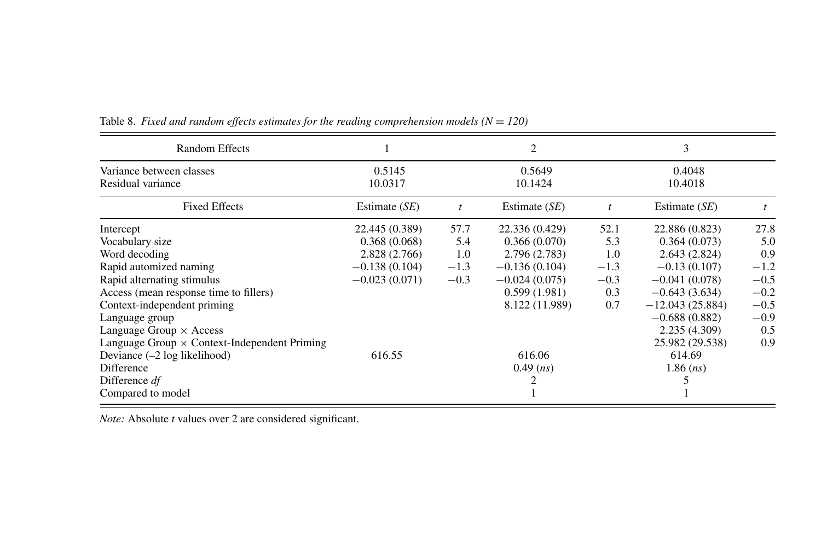| <b>Random Effects</b>                               |                   |        | 2                    |        | 3                    |        |
|-----------------------------------------------------|-------------------|--------|----------------------|--------|----------------------|--------|
| Variance between classes<br>Residual variance       | 0.5145<br>10.0317 |        | 0.5649<br>10.1424    |        | 0.4048<br>10.4018    |        |
| <b>Fixed Effects</b>                                | Estimate $(SE)$   |        | Estimate $(SE)$      | t      | Estimate $(SE)$      |        |
| Intercept                                           | 22.445 (0.389)    | 57.7   | 22.336 (0.429)       | 52.1   | 22.886 (0.823)       | 27.8   |
| Vocabulary size                                     | 0.368(0.068)      | 5.4    | 0.366(0.070)         | 5.3    | 0.364(0.073)         | 5.0    |
| Word decoding                                       | 2.828(2.766)      | 1.0    | 2.796(2.783)         | 1.0    | 2.643(2.824)         | 0.9    |
| Rapid automized naming                              | $-0.138(0.104)$   | $-1.3$ | $-0.136(0.104)$      | $-1.3$ | $-0.13(0.107)$       | $-1.2$ |
| Rapid alternating stimulus                          | $-0.023(0.071)$   | $-0.3$ | $-0.024(0.075)$      | $-0.3$ | $-0.041(0.078)$      | $-0.5$ |
| Access (mean response time to fillers)              |                   |        | 0.599(1.981)         | 0.3    | $-0.643(3.634)$      | $-0.2$ |
| Context-independent priming                         |                   |        | 8.122 (11.989)       | 0.7    | $-12.043(25.884)$    | $-0.5$ |
| Language group                                      |                   |        |                      |        | $-0.688(0.882)$      | $-0.9$ |
| Language Group $\times$ Access                      |                   |        |                      |        | 2.235 (4.309)        | 0.5    |
| Language Group $\times$ Context-Independent Priming |                   |        |                      |        | 25.982 (29.538)      | 0.9    |
| Deviance $(-2 \log$ likelihood)                     | 616.55            |        | 616.06               |        | 614.69               |        |
| Difference                                          |                   |        | $0.49$ ( <i>ns</i> ) |        | $1.86$ ( <i>ns</i> ) |        |
| Difference df                                       |                   |        |                      |        |                      |        |
| Compared to model                                   |                   |        |                      |        |                      |        |

<span id="page-17-0"></span>Table 8. Fixed and random effects estimates for the reading comprehension models ( $N = 120$ )

*Note:* Absolute *<sup>t</sup>* values over 2 are considered significant.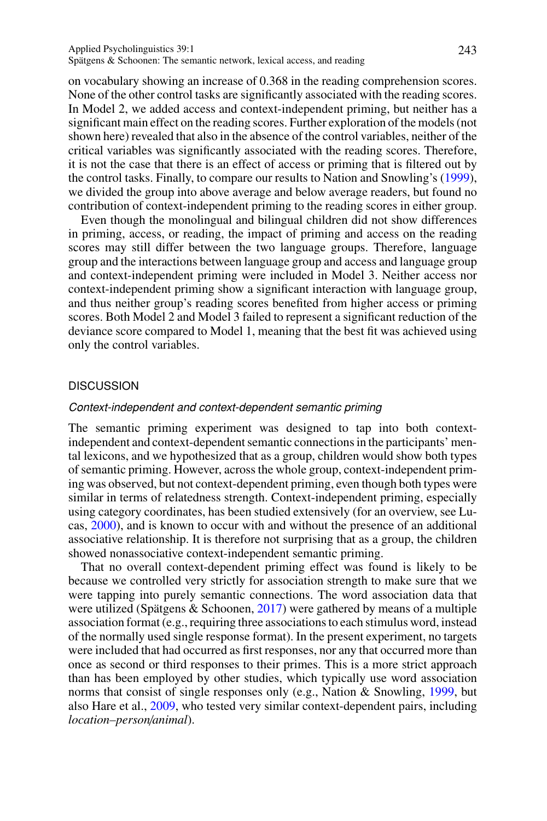on vocabulary showing an increase of 0.368 in the reading comprehension scores. None of the other control tasks are significantly associated with the reading scores. In Model 2, we added access and context-independent priming, but neither has a significant main effect on the reading scores. Further exploration of the models (not shown here) revealed that also in the absence of the control variables, neither of the critical variables was significantly associated with the reading scores. Therefore, it is not the case that there is an effect of access or priming that is filtered out by the control tasks. Finally, to compare our results to Nation and Snowling's [\(1999\)](#page-29-0), we divided the group into above average and below average readers, but found no contribution of context-independent priming to the reading scores in either group.

Even though the monolingual and bilingual children did not show differences in priming, access, or reading, the impact of priming and access on the reading scores may still differ between the two language groups. Therefore, language group and the interactions between language group and access and language group and context-independent priming were included in Model 3. Neither access nor context-independent priming show a significant interaction with language group, and thus neither group's reading scores benefited from higher access or priming scores. Both Model 2 and Model 3 failed to represent a significant reduction of the deviance score compared to Model 1, meaning that the best fit was achieved using only the control variables.

#### **DISCUSSION**

#### *Context-independent and context-dependent semantic priming*

The semantic priming experiment was designed to tap into both contextindependent and context-dependent semantic connections in the participants' mental lexicons, and we hypothesized that as a group, children would show both types of semantic priming. However, across the whole group, context-independent priming was observed, but not context-dependent priming, even though both types were similar in terms of relatedness strength. Context-independent priming, especially using category coordinates, has been studied extensively (for an overview, see Lucas, [2000\)](#page-29-0), and is known to occur with and without the presence of an additional associative relationship. It is therefore not surprising that as a group, the children showed nonassociative context-independent semantic priming.

That no overall context-dependent priming effect was found is likely to be because we controlled very strictly for association strength to make sure that we were tapping into purely semantic connections. The word association data that were utilized (Spätgens & Schoonen, [2017\)](#page-30-0) were gathered by means of a multiple association format (e.g., requiring three associations to each stimulus word, instead of the normally used single response format). In the present experiment, no targets were included that had occurred as first responses, nor any that occurred more than once as second or third responses to their primes. This is a more strict approach than has been employed by other studies, which typically use word association norms that consist of single responses only (e.g., Nation & Snowling, [1999,](#page-29-0) but also Hare et al., [2009,](#page-29-0) who tested very similar context-dependent pairs, including *location–person*/*animal*).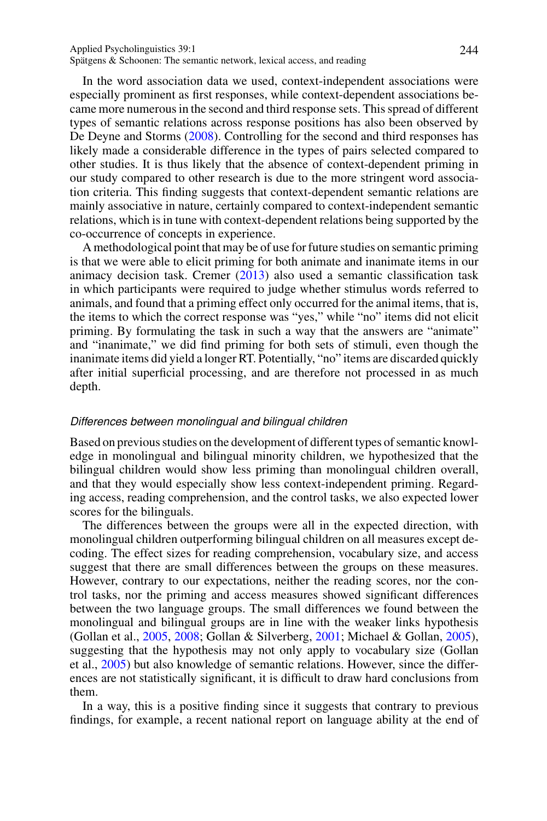#### Applied Psycholinguistics 39:1 244 Spätgens & Schoonen: The semantic network, lexical access, and reading

In the word association data we used, context-independent associations were especially prominent as first responses, while context-dependent associations became more numerous in the second and third response sets. This spread of different types of semantic relations across response positions has also been observed by De Deyne and Storms [\(2008\)](#page-28-0). Controlling for the second and third responses has likely made a considerable difference in the types of pairs selected compared to other studies. It is thus likely that the absence of context-dependent priming in our study compared to other research is due to the more stringent word association criteria. This finding suggests that context-dependent semantic relations are mainly associative in nature, certainly compared to context-independent semantic relations, which is in tune with context-dependent relations being supported by the co-occurrence of concepts in experience.

A methodological point that may be of use for future studies on semantic priming is that we were able to elicit priming for both animate and inanimate items in our animacy decision task. Cremer [\(2013\)](#page-28-0) also used a semantic classification task in which participants were required to judge whether stimulus words referred to animals, and found that a priming effect only occurred for the animal items, that is, the items to which the correct response was "yes," while "no" items did not elicit priming. By formulating the task in such a way that the answers are "animate" and "inanimate," we did find priming for both sets of stimuli, even though the inanimate items did yield a longer RT. Potentially, "no" items are discarded quickly after initial superficial processing, and are therefore not processed in as much depth.

#### *Differences between monolingual and bilingual children*

Based on previous studies on the development of different types of semantic knowledge in monolingual and bilingual minority children, we hypothesized that the bilingual children would show less priming than monolingual children overall, and that they would especially show less context-independent priming. Regarding access, reading comprehension, and the control tasks, we also expected lower scores for the bilinguals.

The differences between the groups were all in the expected direction, with monolingual children outperforming bilingual children on all measures except decoding. The effect sizes for reading comprehension, vocabulary size, and access suggest that there are small differences between the groups on these measures. However, contrary to our expectations, neither the reading scores, nor the control tasks, nor the priming and access measures showed significant differences between the two language groups. The small differences we found between the monolingual and bilingual groups are in line with the weaker links hypothesis (Gollan et al., [2005,](#page-28-0) [2008;](#page-28-0) Gollan & Silverberg, [2001;](#page-28-0) Michael & Gollan, [2005\)](#page-29-0), suggesting that the hypothesis may not only apply to vocabulary size (Gollan et al., [2005\)](#page-28-0) but also knowledge of semantic relations. However, since the differences are not statistically significant, it is difficult to draw hard conclusions from them.

In a way, this is a positive finding since it suggests that contrary to previous findings, for example, a recent national report on language ability at the end of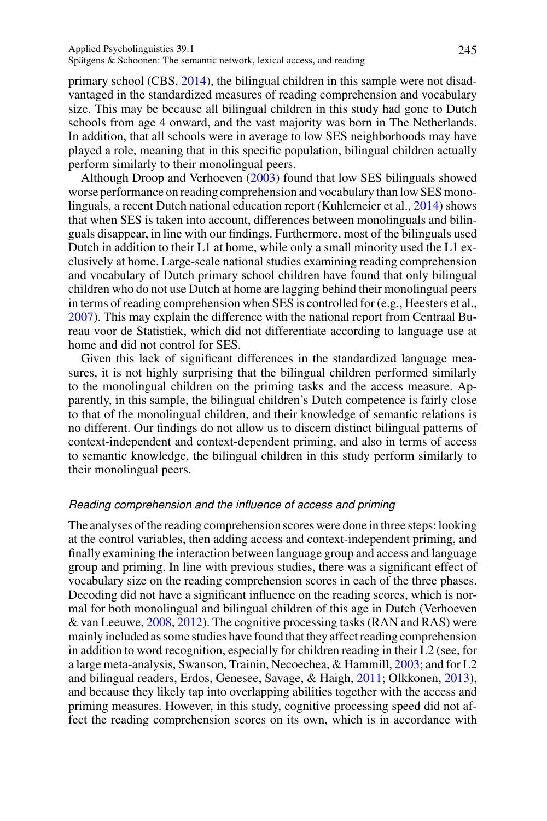primary school (CBS, [2014\)](#page-28-0), the bilingual children in this sample were not disadvantaged in the standardized measures of reading comprehension and vocabulary size. This may be because all bilingual children in this study had gone to Dutch schools from age 4 onward, and the vast majority was born in The Netherlands. In addition, that all schools were in average to low SES neighborhoods may have played a role, meaning that in this specific population, bilingual children actually perform similarly to their monolingual peers.

Although Droop and Verhoeven [\(2003\)](#page-28-0) found that low SES bilinguals showed worse performance on reading comprehension and vocabulary than low SES monolinguals, a recent Dutch national education report (Kuhlemeier et al., [2014\)](#page-29-0) shows that when SES is taken into account, differences between monolinguals and bilinguals disappear, in line with our findings. Furthermore, most of the bilinguals used Dutch in addition to their L1 at home, while only a small minority used the L1 exclusively at home. Large-scale national studies examining reading comprehension and vocabulary of Dutch primary school children have found that only bilingual children who do not use Dutch at home are lagging behind their monolingual peers in terms of reading comprehension when SES is controlled for (e.g., Heesters et al., [2007\)](#page-29-0). This may explain the difference with the national report from Centraal Bureau voor de Statistiek, which did not differentiate according to language use at home and did not control for SES.

Given this lack of significant differences in the standardized language measures, it is not highly surprising that the bilingual children performed similarly to the monolingual children on the priming tasks and the access measure. Apparently, in this sample, the bilingual children's Dutch competence is fairly close to that of the monolingual children, and their knowledge of semantic relations is no different. Our findings do not allow us to discern distinct bilingual patterns of context-independent and context-dependent priming, and also in terms of access to semantic knowledge, the bilingual children in this study perform similarly to their monolingual peers.

# *Reading comprehension and the influence of access and priming*

The analyses of the reading comprehension scores were done in three steps: looking at the control variables, then adding access and context-independent priming, and finally examining the interaction between language group and access and language group and priming. In line with previous studies, there was a significant effect of vocabulary size on the reading comprehension scores in each of the three phases. Decoding did not have a significant influence on the reading scores, which is normal for both monolingual and bilingual children of this age in Dutch (Verhoeven & van Leeuwe, [2008,](#page-30-0) [2012\)](#page-30-0). The cognitive processing tasks (RAN and RAS) were mainly included as some studies have found that they affect reading comprehension in addition to word recognition, especially for children reading in their L2 (see, for a large meta-analysis, Swanson, Trainin, Necoechea, & Hammill, [2003;](#page-30-0) and for L2 and bilingual readers, Erdos, Genesee, Savage, & Haigh, [2011;](#page-28-0) Olkkonen, [2013\)](#page-29-0), and because they likely tap into overlapping abilities together with the access and priming measures. However, in this study, cognitive processing speed did not affect the reading comprehension scores on its own, which is in accordance with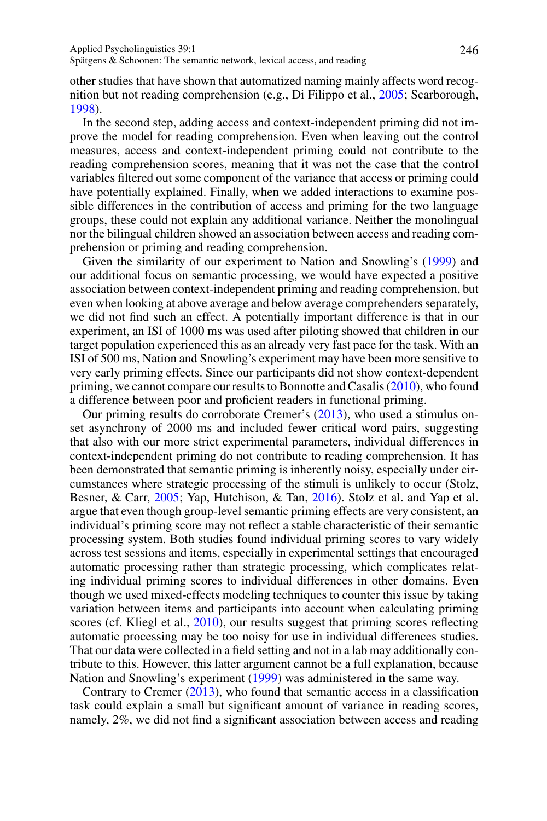other studies that have shown that automatized naming mainly affects word recognition but not reading comprehension (e.g., Di Filippo et al., [2005;](#page-28-0) Scarborough, [1998\)](#page-30-0).

In the second step, adding access and context-independent priming did not improve the model for reading comprehension. Even when leaving out the control measures, access and context-independent priming could not contribute to the reading comprehension scores, meaning that it was not the case that the control variables filtered out some component of the variance that access or priming could have potentially explained. Finally, when we added interactions to examine possible differences in the contribution of access and priming for the two language groups, these could not explain any additional variance. Neither the monolingual nor the bilingual children showed an association between access and reading comprehension or priming and reading comprehension.

Given the similarity of our experiment to Nation and Snowling's [\(1999\)](#page-29-0) and our additional focus on semantic processing, we would have expected a positive association between context-independent priming and reading comprehension, but even when looking at above average and below average comprehenders separately, we did not find such an effect. A potentially important difference is that in our experiment, an ISI of 1000 ms was used after piloting showed that children in our target population experienced this as an already very fast pace for the task. With an ISI of 500 ms, Nation and Snowling's experiment may have been more sensitive to very early priming effects. Since our participants did not show context-dependent priming, we cannot compare our results to Bonnotte and Casalis [\(2010\)](#page-28-0), who found a difference between poor and proficient readers in functional priming.

Our priming results do corroborate Cremer's [\(2013\)](#page-28-0), who used a stimulus onset asynchrony of 2000 ms and included fewer critical word pairs, suggesting that also with our more strict experimental parameters, individual differences in context-independent priming do not contribute to reading comprehension. It has been demonstrated that semantic priming is inherently noisy, especially under circumstances where strategic processing of the stimuli is unlikely to occur (Stolz, Besner, & Carr, [2005;](#page-30-0) Yap, Hutchison, & Tan, [2016\)](#page-31-0). Stolz et al. and Yap et al. argue that even though group-level semantic priming effects are very consistent, an individual's priming score may not reflect a stable characteristic of their semantic processing system. Both studies found individual priming scores to vary widely across test sessions and items, especially in experimental settings that encouraged automatic processing rather than strategic processing, which complicates relating individual priming scores to individual differences in other domains. Even though we used mixed-effects modeling techniques to counter this issue by taking variation between items and participants into account when calculating priming scores (cf. Kliegl et al., [2010\)](#page-29-0), our results suggest that priming scores reflecting automatic processing may be too noisy for use in individual differences studies. That our data were collected in a field setting and not in a lab may additionally contribute to this. However, this latter argument cannot be a full explanation, because Nation and Snowling's experiment [\(1999\)](#page-29-0) was administered in the same way.

Contrary to Cremer [\(2013\)](#page-28-0), who found that semantic access in a classification task could explain a small but significant amount of variance in reading scores, namely, 2%, we did not find a significant association between access and reading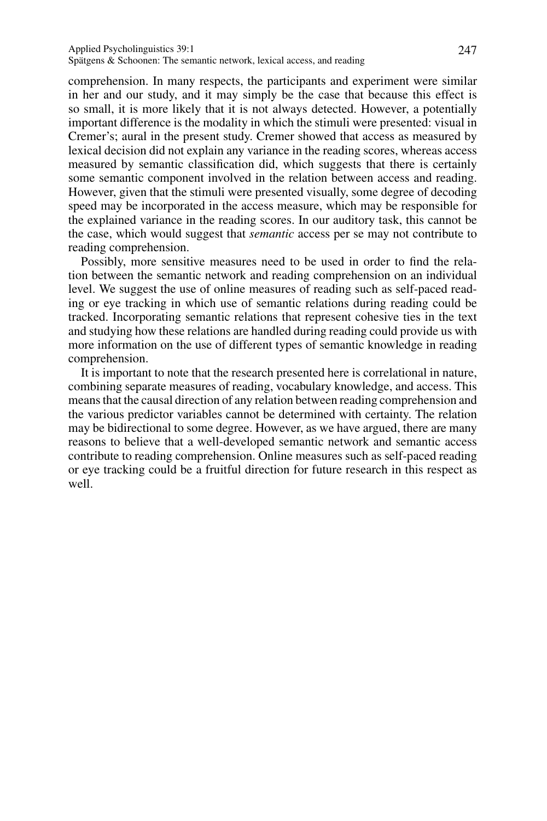comprehension. In many respects, the participants and experiment were similar in her and our study, and it may simply be the case that because this effect is so small, it is more likely that it is not always detected. However, a potentially important difference is the modality in which the stimuli were presented: visual in Cremer's; aural in the present study. Cremer showed that access as measured by lexical decision did not explain any variance in the reading scores, whereas access measured by semantic classification did, which suggests that there is certainly some semantic component involved in the relation between access and reading. However, given that the stimuli were presented visually, some degree of decoding speed may be incorporated in the access measure, which may be responsible for the explained variance in the reading scores. In our auditory task, this cannot be the case, which would suggest that *semantic* access per se may not contribute to reading comprehension.

Possibly, more sensitive measures need to be used in order to find the relation between the semantic network and reading comprehension on an individual level. We suggest the use of online measures of reading such as self-paced reading or eye tracking in which use of semantic relations during reading could be tracked. Incorporating semantic relations that represent cohesive ties in the text and studying how these relations are handled during reading could provide us with more information on the use of different types of semantic knowledge in reading comprehension.

It is important to note that the research presented here is correlational in nature, combining separate measures of reading, vocabulary knowledge, and access. This means that the causal direction of any relation between reading comprehension and the various predictor variables cannot be determined with certainty. The relation may be bidirectional to some degree. However, as we have argued, there are many reasons to believe that a well-developed semantic network and semantic access contribute to reading comprehension. Online measures such as self-paced reading or eye tracking could be a fruitful direction for future research in this respect as well.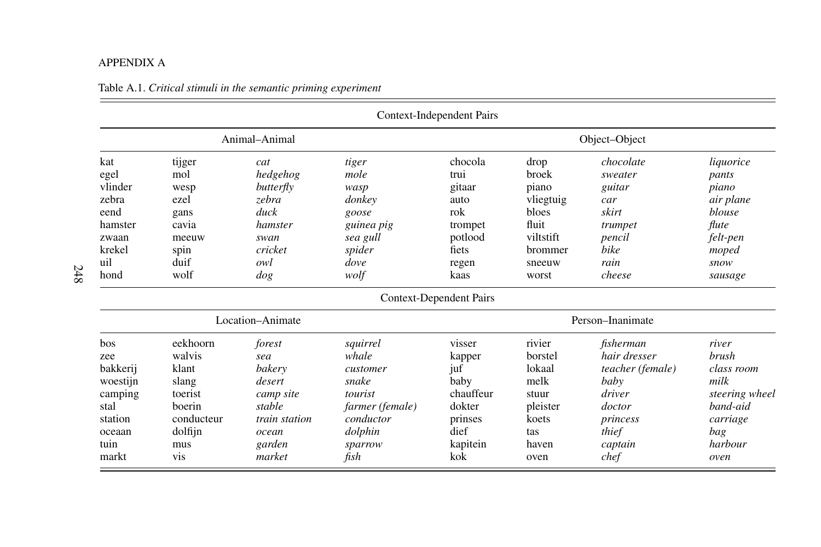#### <span id="page-23-0"></span>APPENDIX A

|                                                                                             |                                                                                                  |                                                                                                               |                                                                                                                 | Context-Independent Pairs                                                                    |                                                                                                  |                                                                                                                   |                                                                                                          |  |  |
|---------------------------------------------------------------------------------------------|--------------------------------------------------------------------------------------------------|---------------------------------------------------------------------------------------------------------------|-----------------------------------------------------------------------------------------------------------------|----------------------------------------------------------------------------------------------|--------------------------------------------------------------------------------------------------|-------------------------------------------------------------------------------------------------------------------|----------------------------------------------------------------------------------------------------------|--|--|
| Animal-Animal                                                                               |                                                                                                  |                                                                                                               |                                                                                                                 |                                                                                              | Object-Object                                                                                    |                                                                                                                   |                                                                                                          |  |  |
| kat<br>egel<br>vlinder<br>zebra<br>eend<br>hamster<br>zwaan<br>krekel<br>uil<br>hond        | tijger<br>mol<br>wesp<br>ezel<br>gans<br>cavia<br>meeuw<br>spin<br>duif<br>wolf                  | cat<br>hedgehog<br>butterfly<br>zebra<br>duck<br>hamster<br>swan<br>cricket<br>owl<br>dog                     | tiger<br>mole<br>wasp<br>donkey<br>goose<br>guinea pig<br>sea gull<br>spider<br>dove<br>wolf                    | chocola<br>trui<br>gitaar<br>auto<br>rok<br>trompet<br>potlood<br>fiets<br>regen<br>kaas     | drop<br>broek<br>piano<br>vliegtuig<br>bloes<br>fluit<br>viltstift<br>brommer<br>sneeuw<br>worst | chocolate<br>sweater<br>guitar<br>car<br>skirt<br>trumpet<br>pencil<br>bike<br>rain<br>cheese                     | liquorice<br>pants<br>piano<br>air plane<br>blouse<br>flute<br>felt-pen<br>moped<br>snow<br>sausage      |  |  |
|                                                                                             |                                                                                                  |                                                                                                               |                                                                                                                 | <b>Context-Dependent Pairs</b>                                                               |                                                                                                  |                                                                                                                   |                                                                                                          |  |  |
|                                                                                             |                                                                                                  | Location-Animate                                                                                              |                                                                                                                 |                                                                                              |                                                                                                  | Person-Inanimate                                                                                                  |                                                                                                          |  |  |
| bos<br>zee<br>bakkerij<br>woestijn<br>camping<br>stal<br>station<br>oceaan<br>tuin<br>markt | eekhoorn<br>walvis<br>klant<br>slang<br>toerist<br>boerin<br>conducteur<br>dolfijn<br>mus<br>vis | forest<br>sea<br>bakery<br>desert<br>camp site<br>stable<br><i>train station</i><br>ocean<br>garden<br>market | squirrel<br>whale<br>customer<br>snake<br>tourist<br>farmer (female)<br>conductor<br>dolphin<br>sparrow<br>fish | visser<br>kapper<br>juf<br>baby<br>chauffeur<br>dokter<br>prinses<br>dief<br>kapitein<br>kok | rivier<br>borstel<br>lokaal<br>melk<br>stuur<br>pleister<br>koets<br>tas<br>haven<br>oven        | fisherman<br>hair dresser<br>teacher (female)<br>baby<br>driver<br>doctor<br>princess<br>thief<br>captain<br>chef | river<br>brush<br>class room<br>milk<br>steering wheel<br>band-aid<br>carriage<br>bag<br>harbour<br>oven |  |  |

#### Table A.1. *Critical stimuli in the semantic priming experiment*

248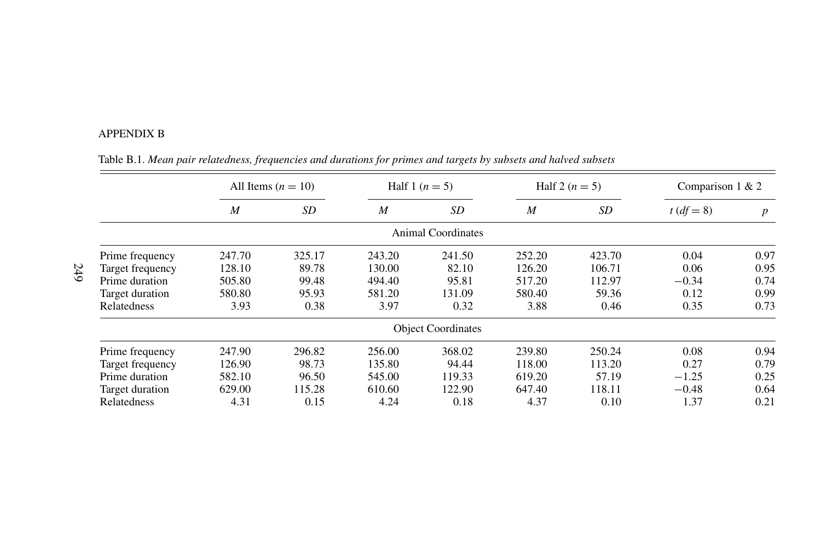# <span id="page-24-0"></span>APPENDIX B

|                    |        | All Items $(n = 10)$ |                  | Half 1 $(n=5)$            |                | Half 2 $(n=5)$ | Comparison $1 \& 2$ |      |
|--------------------|--------|----------------------|------------------|---------------------------|----------------|----------------|---------------------|------|
|                    | M      | <b>SD</b>            | $\boldsymbol{M}$ | <b>SD</b>                 | $\overline{M}$ | SD             | $t (df = 8)$        | p    |
|                    |        |                      |                  | <b>Animal Coordinates</b> |                |                |                     |      |
| Prime frequency    | 247.70 | 325.17               | 243.20           | 241.50                    | 252.20         | 423.70         | 0.04                | 0.97 |
| Target frequency   | 128.10 | 89.78                | 130.00           | 82.10                     | 126.20         | 106.71         | 0.06                | 0.95 |
| Prime duration     | 505.80 | 99.48                | 494.40           | 95.81                     | 517.20         | 112.97         | $-0.34$             | 0.74 |
| Target duration    | 580.80 | 95.93                | 581.20           | 131.09                    | 580.40         | 59.36          | 0.12                | 0.99 |
| Relatedness        | 3.93   | 0.38                 | 3.97             | 0.32                      | 3.88           | 0.46           | 0.35                | 0.73 |
|                    |        |                      |                  | <b>Object Coordinates</b> |                |                |                     |      |
| Prime frequency    | 247.90 | 296.82               | 256.00           | 368.02                    | 239.80         | 250.24         | 0.08                | 0.94 |
| Target frequency   | 126.90 | 98.73                | 135.80           | 94.44                     | 118.00         | 113.20         | 0.27                | 0.79 |
| Prime duration     | 582.10 | 96.50                | 545.00           | 119.33                    | 619.20         | 57.19          | $-1.25$             | 0.25 |
| Target duration    | 629.00 | 115.28               | 610.60           | 122.90                    | 647.40         | 118.11         | $-0.48$             | 0.64 |
| <b>Relatedness</b> | 4.31   | 0.15                 | 4.24             | 0.18                      | 4.37           | 0.10           | 1.37                | 0.21 |

Table B.1. Mean pair relatedness, frequencies and durations for primes and targets by subsets and halved subsets

249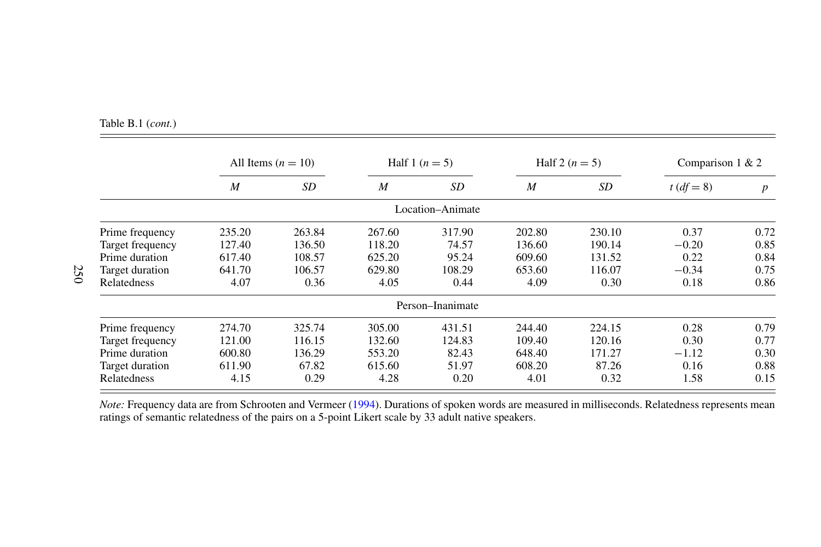|                  |                  | All Items $(n = 10)$ |                  | Half 1 $(n=5)$   |                  | Half 2 $(n=5)$ | Comparison $1 \& 2$ |                  |
|------------------|------------------|----------------------|------------------|------------------|------------------|----------------|---------------------|------------------|
|                  | $\boldsymbol{M}$ | <i>SD</i>            | $\boldsymbol{M}$ | SD               | $\boldsymbol{M}$ | SD             | $t (df = 8)$        | $\boldsymbol{p}$ |
|                  |                  |                      |                  | Location–Animate |                  |                |                     |                  |
| Prime frequency  | 235.20           | 263.84               | 267.60           | 317.90           | 202.80           | 230.10         | 0.37                | 0.72             |
| Target frequency | 127.40           | 136.50               | 118.20           | 74.57            | 136.60           | 190.14         | $-0.20$             | 0.85             |
| Prime duration   | 617.40           | 108.57               | 625.20           | 95.24            | 609.60           | 131.52         | 0.22                | 0.84             |
| Target duration  | 641.70           | 106.57               | 629.80           | 108.29           | 653.60           | 116.07         | $-0.34$             | 0.75             |
| Relatedness      | 4.07             | 0.36                 | 4.05             | 0.44             | 4.09             | 0.30           | 0.18                | 0.86             |
|                  |                  |                      |                  | Person-Inanimate |                  |                |                     |                  |
| Prime frequency  | 274.70           | 325.74               | 305.00           | 431.51           | 244.40           | 224.15         | 0.28                | 0.79             |
| Target frequency | 121.00           | 116.15               | 132.60           | 124.83           | 109.40           | 120.16         | 0.30                | 0.77             |
| Prime duration   | 600.80           | 136.29               | 553.20           | 82.43            | 648.40           | 171.27         | $-1.12$             | 0.30             |
| Target duration  | 611.90           | 67.82                | 615.60           | 51.97            | 608.20           | 87.26          | 0.16                | 0.88             |
| Relatedness      | 4.15             | 0.29                 | 4.28             | 0.20             | 4.01             | 0.32           | 1.58                | 0.15             |

*Note:* Frequency data are from Schrooten and Vermeer [\(1994\)](#page-30-0). Durations of spoken words are measured in milliseconds. Relatedness represents mean ratings of semantic relatedness of the pairs on <sup>a</sup> 5-point Likert scale by 33 adult native speakers.

Table B.1 (*cont.*)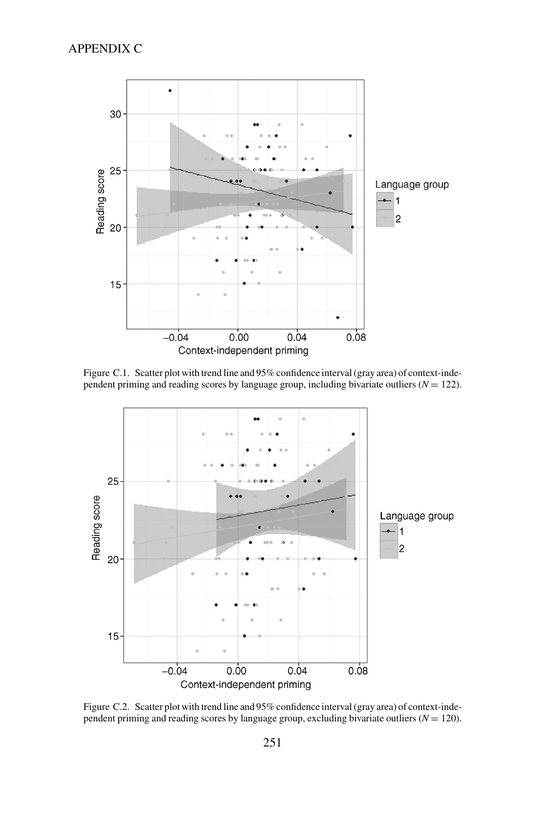<span id="page-26-0"></span>

Figure C.1. Scatter plot with trend line and 95% confidence interval (gray area) of context-independent priming and reading scores by language group, including bivariate outliers ( $N = 122$ ).



Figure C.2. Scatter plot with trend line and 95% confidence interval (gray area) of context-independent priming and reading scores by language group, excluding bivariate outliers ( $N = 120$ ).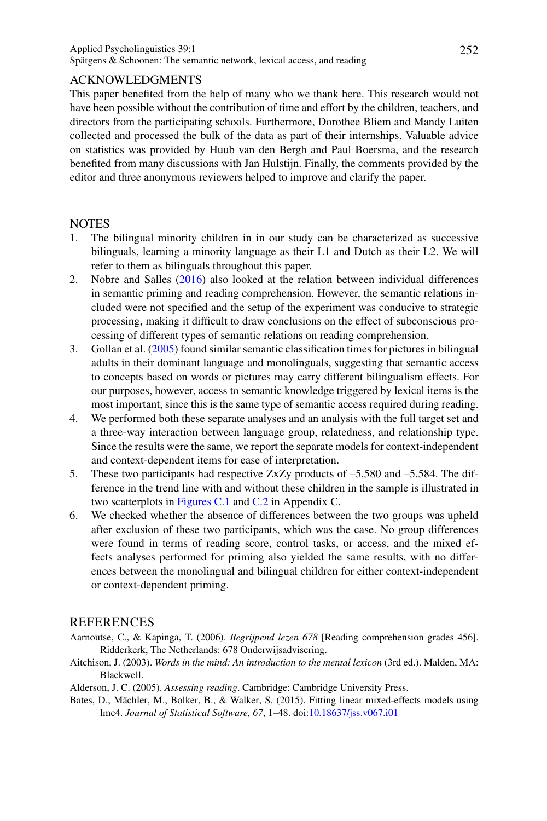## <span id="page-27-0"></span>Applied Psycholinguistics 39:1 252 Spätgens & Schoonen: The semantic network, lexical access, and reading

# ACKNOWLEDGMENTS

This paper benefited from the help of many who we thank here. This research would not have been possible without the contribution of time and effort by the children, teachers, and directors from the participating schools. Furthermore, Dorothee Bliem and Mandy Luiten collected and processed the bulk of the data as part of their internships. Valuable advice on statistics was provided by Huub van den Bergh and Paul Boersma, and the research benefited from many discussions with Jan Hulstijn. Finally, the comments provided by the editor and three anonymous reviewers helped to improve and clarify the paper.

# **NOTES**

- 1. The bilingual minority children in in our study can be characterized as successive bilinguals, learning a minority language as their L1 and Dutch as their L2. We will refer to them as bilinguals throughout this paper.
- 2. Nobre and Salles [\(2016\)](#page-29-0) also looked at the relation between individual differences in semantic priming and reading comprehension. However, the semantic relations included were not specified and the setup of the experiment was conducive to strategic processing, making it difficult to draw conclusions on the effect of subconscious processing of different types of semantic relations on reading comprehension.
- 3. Gollan et al. [\(2005\)](#page-28-0) found similar semantic classification times for pictures in bilingual adults in their dominant language and monolinguals, suggesting that semantic access to concepts based on words or pictures may carry different bilingualism effects. For our purposes, however, access to semantic knowledge triggered by lexical items is the most important, since this is the same type of semantic access required during reading.
- 4. We performed both these separate analyses and an analysis with the full target set and a three-way interaction between language group, relatedness, and relationship type. Since the results were the same, we report the separate models for context-independent and context-dependent items for ease of interpretation.
- 5. These two participants had respective ZxZy products of –5.580 and –5.584. The difference in the trend line with and without these children in the sample is illustrated in two scatterplots in [Figures C.1](#page-26-0) and [C.2](#page-26-0) in Appendix C.
- 6. We checked whether the absence of differences between the two groups was upheld after exclusion of these two participants, which was the case. No group differences were found in terms of reading score, control tasks, or access, and the mixed effects analyses performed for priming also yielded the same results, with no differences between the monolingual and bilingual children for either context-independent or context-dependent priming.

# REFERENCES

- Aarnoutse, C., & Kapinga, T. (2006). *Begrijpend lezen 678* [Reading comprehension grades 456]. Ridderkerk, The Netherlands: 678 Onderwijsadvisering.
- Aitchison, J. (2003). *Words in the mind: An introduction to the mental lexicon* (3rd ed.). Malden, MA: Blackwell.
- Alderson, J. C. (2005). *Assessing reading*. Cambridge: Cambridge University Press.
- Bates, D., Mächler, M., Bolker, B., & Walker, S. (2015). Fitting linear mixed-effects models using lme4. *Journal of Statistical Software, 67*, 1–48. doi[:10.18637/jss.v067.i01](https://doi.org/10.18637/jss.v067.i01)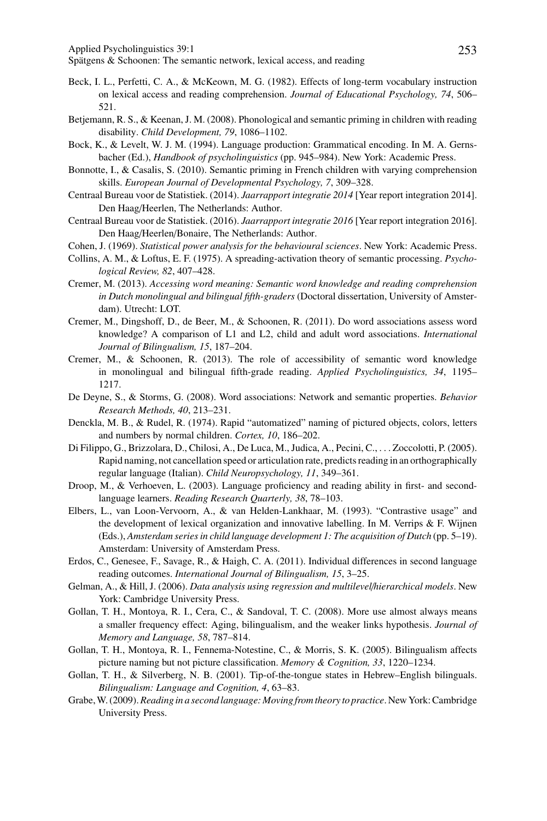<span id="page-28-0"></span>Applied Psycholinguistics 39:1 253

Spätgens & Schoonen: The semantic network, lexical access, and reading

- Beck, I. L., Perfetti, C. A., & McKeown, M. G. (1982). Effects of long-term vocabulary instruction on lexical access and reading comprehension. *Journal of Educational Psychology, 74*, 506– 521.
- Betjemann, R. S., & Keenan, J. M. (2008). Phonological and semantic priming in children with reading disability. *Child Development, 79*, 1086–1102.
- Bock, K., & Levelt, W. J. M. (1994). Language production: Grammatical encoding. In M. A. Gernsbacher (Ed.), *Handbook of psycholinguistics* (pp. 945–984). New York: Academic Press.
- Bonnotte, I., & Casalis, S. (2010). Semantic priming in French children with varying comprehension skills. *European Journal of Developmental Psychology, 7*, 309–328.
- Centraal Bureau voor de Statistiek. (2014). *Jaarrapport integratie 2014* [Year report integration 2014]. Den Haag/Heerlen, The Netherlands: Author.
- Centraal Bureau voor de Statistiek. (2016). *Jaarrapport integratie 2016* [Year report integration 2016]. Den Haag/Heerlen/Bonaire, The Netherlands: Author.
- Cohen, J. (1969). *Statistical power analysis for the behavioural sciences*. New York: Academic Press.
- Collins, A. M., & Loftus, E. F. (1975). A spreading-activation theory of semantic processing. *Psychological Review, 82*, 407–428.
- Cremer, M. (2013). *Accessing word meaning: Semantic word knowledge and reading comprehension in Dutch monolingual and bilingual fifth-graders* (Doctoral dissertation, University of Amsterdam). Utrecht: LOT.
- Cremer, M., Dingshoff, D., de Beer, M., & Schoonen, R. (2011). Do word associations assess word knowledge? A comparison of L1 and L2, child and adult word associations. *International Journal of Bilingualism, 15*, 187–204.
- Cremer, M., & Schoonen, R. (2013). The role of accessibility of semantic word knowledge in monolingual and bilingual fifth-grade reading. *Applied Psycholinguistics, 34*, 1195– 1217.
- De Deyne, S., & Storms, G. (2008). Word associations: Network and semantic properties. *Behavior Research Methods, 40*, 213–231.
- Denckla, M. B., & Rudel, R. (1974). Rapid "automatized" naming of pictured objects, colors, letters and numbers by normal children. *Cortex, 10*, 186–202.
- Di Filippo, G., Brizzolara, D., Chilosi, A., De Luca, M., Judica, A., Pecini, C., . . . Zoccolotti, P. (2005). Rapid naming, not cancellation speed or articulation rate, predicts reading in an orthographically regular language (Italian). *Child Neuropsychology, 11*, 349–361.
- Droop, M., & Verhoeven, L. (2003). Language proficiency and reading ability in first- and secondlanguage learners. *Reading Research Quarterly, 38*, 78–103.
- Elbers, L., van Loon-Vervoorn, A., & van Helden-Lankhaar, M. (1993). "Contrastive usage" and the development of lexical organization and innovative labelling. In M. Verrips & F. Wijnen (Eds.), *Amsterdam series in child language development 1: The acquisition of Dutch* (pp. 5–19). Amsterdam: University of Amsterdam Press.
- Erdos, C., Genesee, F., Savage, R., & Haigh, C. A. (2011). Individual differences in second language reading outcomes. *International Journal of Bilingualism, 15*, 3–25.
- Gelman, A., & Hill, J. (2006). *Data analysis using regression and multilevel*/*hierarchical models*. New York: Cambridge University Press.
- Gollan, T. H., Montoya, R. I., Cera, C., & Sandoval, T. C. (2008). More use almost always means a smaller frequency effect: Aging, bilingualism, and the weaker links hypothesis. *Journal of Memory and Language, 58*, 787–814.
- Gollan, T. H., Montoya, R. I., Fennema-Notestine, C., & Morris, S. K. (2005). Bilingualism affects picture naming but not picture classification. *Memory & Cognition, 33*, 1220–1234.
- Gollan, T. H., & Silverberg, N. B. (2001). Tip-of-the-tongue states in Hebrew–English bilinguals. *Bilingualism: Language and Cognition, 4*, 63–83.
- Grabe,W. (2009).*Reading in a second language: Moving from theory to practice*. New York: Cambridge University Press.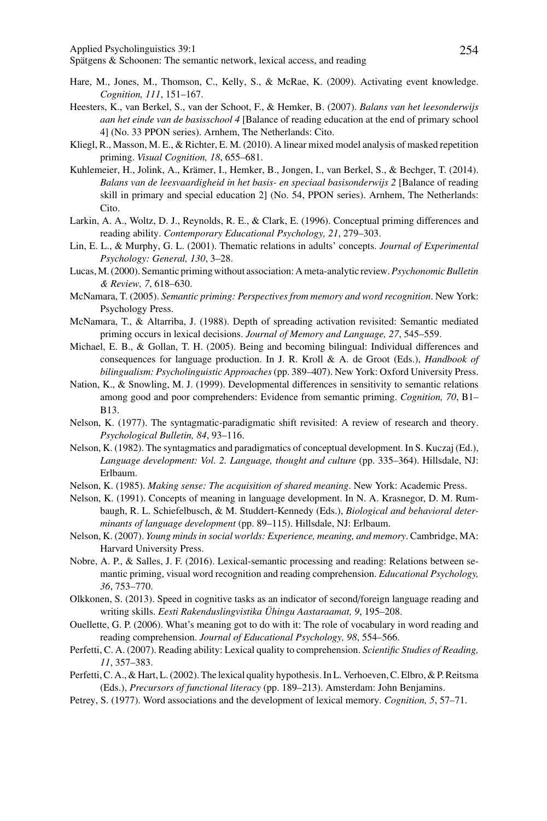<span id="page-29-0"></span>Applied Psycholinguistics 39:1 254

Spätgens & Schoonen: The semantic network, lexical access, and reading

- Hare, M., Jones, M., Thomson, C., Kelly, S., & McRae, K. (2009). Activating event knowledge. *Cognition, 111*, 151–167.
- Heesters, K., van Berkel, S., van der Schoot, F., & Hemker, B. (2007). *Balans van het leesonderwijs aan het einde van de basisschool 4* [Balance of reading education at the end of primary school 4] (No. 33 PPON series). Arnhem, The Netherlands: Cito.
- Kliegl, R., Masson, M. E., & Richter, E. M. (2010). A linear mixed model analysis of masked repetition priming. *Visual Cognition, 18*, 655–681.
- Kuhlemeier, H., Jolink, A., Krämer, I., Hemker, B., Jongen, I., van Berkel, S., & Bechger, T. (2014). *Balans van de leesvaardigheid in het basis- en speciaal basisonderwijs 2* [Balance of reading skill in primary and special education 2] (No. 54, PPON series). Arnhem, The Netherlands: Cito.
- Larkin, A. A., Woltz, D. J., Reynolds, R. E., & Clark, E. (1996). Conceptual priming differences and reading ability. *Contemporary Educational Psychology, 21*, 279–303.
- Lin, E. L., & Murphy, G. L. (2001). Thematic relations in adults' concepts. *Journal of Experimental Psychology: General, 130*, 3–28.
- Lucas,M. (2000). Semantic priming without association: A meta-analytic review.*Psychonomic Bulletin & Review, 7*, 618–630.
- McNamara, T. (2005). *Semantic priming: Perspectives from memory and word recognition*. New York: Psychology Press.
- McNamara, T., & Altarriba, J. (1988). Depth of spreading activation revisited: Semantic mediated priming occurs in lexical decisions. *Journal of Memory and Language, 27*, 545–559.
- Michael, E. B., & Gollan, T. H. (2005). Being and becoming bilingual: Individual differences and consequences for language production. In J. R. Kroll & A. de Groot (Eds.), *Handbook of bilingualism: Psycholinguistic Approaches*(pp. 389–407). New York: Oxford University Press.
- Nation, K., & Snowling, M. J. (1999). Developmental differences in sensitivity to semantic relations among good and poor comprehenders: Evidence from semantic priming. *Cognition, 70*, B1– B13.
- Nelson, K. (1977). The syntagmatic-paradigmatic shift revisited: A review of research and theory. *Psychological Bulletin, 84*, 93–116.
- Nelson, K. (1982). The syntagmatics and paradigmatics of conceptual development. In S. Kuczaj (Ed.), *Language development: Vol. 2. Language, thought and culture* (pp. 335–364). Hillsdale, NJ: Erlbaum.
- Nelson, K. (1985). *Making sense: The acquisition of shared meaning*. New York: Academic Press.
- Nelson, K. (1991). Concepts of meaning in language development. In N. A. Krasnegor, D. M. Rumbaugh, R. L. Schiefelbusch, & M. Studdert-Kennedy (Eds.), *Biological and behavioral determinants of language development* (pp. 89–115). Hillsdale, NJ: Erlbaum.
- Nelson, K. (2007). *Young minds in social worlds: Experience, meaning, and memory*. Cambridge, MA: Harvard University Press.
- Nobre, A. P., & Salles, J. F. (2016). Lexical-semantic processing and reading: Relations between semantic priming, visual word recognition and reading comprehension. *Educational Psychology, 36*, 753–770.
- Olkkonen, S. (2013). Speed in cognitive tasks as an indicator of second/foreign language reading and writing skills. *Eesti Rakenduslingvistika Ühingu Aastaraamat, 9*, 195–208.
- Ouellette, G. P. (2006). What's meaning got to do with it: The role of vocabulary in word reading and reading comprehension. *Journal of Educational Psychology, 98*, 554–566.
- Perfetti, C. A. (2007). Reading ability: Lexical quality to comprehension. *Scientific Studies of Reading, 11*, 357–383.
- Perfetti, C. A., & Hart, L. (2002). The lexical quality hypothesis. In L. Verhoeven, C. Elbro, & P. Reitsma (Eds.), *Precursors of functional literacy* (pp. 189–213). Amsterdam: John Benjamins.
- Petrey, S. (1977). Word associations and the development of lexical memory. *Cognition, 5*, 57–71.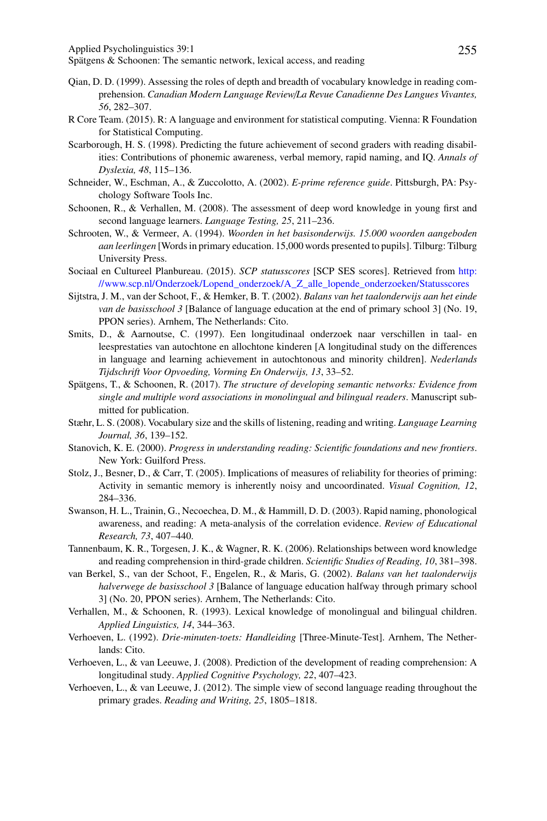<span id="page-30-0"></span>Applied Psycholinguistics 39:1 255

Spätgens & Schoonen: The semantic network, lexical access, and reading

- Qian, D. D. (1999). Assessing the roles of depth and breadth of vocabulary knowledge in reading comprehension. *Canadian Modern Language Review*/*La Revue Canadienne Des Langues Vivantes, 56*, 282–307.
- R Core Team. (2015). R: A language and environment for statistical computing. Vienna: R Foundation for Statistical Computing.
- Scarborough, H. S. (1998). Predicting the future achievement of second graders with reading disabilities: Contributions of phonemic awareness, verbal memory, rapid naming, and IQ. *Annals of Dyslexia, 48*, 115–136.
- Schneider, W., Eschman, A., & Zuccolotto, A. (2002). *E-prime reference guide*. Pittsburgh, PA: Psychology Software Tools Inc.
- Schoonen, R., & Verhallen, M. (2008). The assessment of deep word knowledge in young first and second language learners. *Language Testing, 25*, 211–236.
- Schrooten, W., & Vermeer, A. (1994). *Woorden in het basisonderwijs. 15.000 woorden aangeboden aan leerlingen* [Words in primary education. 15,000 words presented to pupils]. Tilburg: Tilburg University Press.
- Sociaal en Cultureel Planbureau. (2015). *SCP statusscores* [SCP SES scores]. Retrieved from http: [//www.scp.nl/Onderzoek/Lopend\\_onderzoek/A\\_Z\\_alle\\_lopende\\_onderzoeken/Statusscores](http://www.scp.nl/Onderzoek/Lopend_onderzoek/A_Z_alle_lopende_onderzoeken/Statusscores)
- Sijtstra, J. M., van der Schoot, F., & Hemker, B. T. (2002). *Balans van het taalonderwijs aan het einde van de basisschool 3* [Balance of language education at the end of primary school 3] (No. 19, PPON series). Arnhem, The Netherlands: Cito.
- Smits, D., & Aarnoutse, C. (1997). Een longitudinaal onderzoek naar verschillen in taal- en leesprestaties van autochtone en allochtone kinderen [A longitudinal study on the differences in language and learning achievement in autochtonous and minority children]. *Nederlands Tijdschrift Voor Opvoeding, Vorming En Onderwijs, 13*, 33–52.
- Spätgens, T., & Schoonen, R. (2017). *The structure of developing semantic networks: Evidence from single and multiple word associations in monolingual and bilingual readers*. Manuscript submitted for publication.
- Stæhr, L. S. (2008). Vocabulary size and the skills of listening, reading and writing. *Language Learning Journal, 36*, 139–152.
- Stanovich, K. E. (2000). *Progress in understanding reading: Scientific foundations and new frontiers*. New York: Guilford Press.
- Stolz, J., Besner, D., & Carr, T. (2005). Implications of measures of reliability for theories of priming: Activity in semantic memory is inherently noisy and uncoordinated. *Visual Cognition, 12*, 284–336.
- Swanson, H. L., Trainin, G., Necoechea, D. M., & Hammill, D. D. (2003). Rapid naming, phonological awareness, and reading: A meta-analysis of the correlation evidence. *Review of Educational Research, 73*, 407–440.
- Tannenbaum, K. R., Torgesen, J. K., & Wagner, R. K. (2006). Relationships between word knowledge and reading comprehension in third-grade children. *Scientific Studies of Reading, 10*, 381–398.
- van Berkel, S., van der Schoot, F., Engelen, R., & Maris, G. (2002). *Balans van het taalonderwijs halverwege de basisschool 3* [Balance of language education halfway through primary school 3] (No. 20, PPON series). Arnhem, The Netherlands: Cito.
- Verhallen, M., & Schoonen, R. (1993). Lexical knowledge of monolingual and bilingual children. *Applied Linguistics, 14*, 344–363.
- Verhoeven, L. (1992). *Drie-minuten-toets: Handleiding* [Three-Minute-Test]. Arnhem, The Netherlands: Cito.
- Verhoeven, L., & van Leeuwe, J. (2008). Prediction of the development of reading comprehension: A longitudinal study. *Applied Cognitive Psychology, 22*, 407–423.
- Verhoeven, L., & van Leeuwe, J. (2012). The simple view of second language reading throughout the primary grades. *Reading and Writing, 25*, 1805–1818.